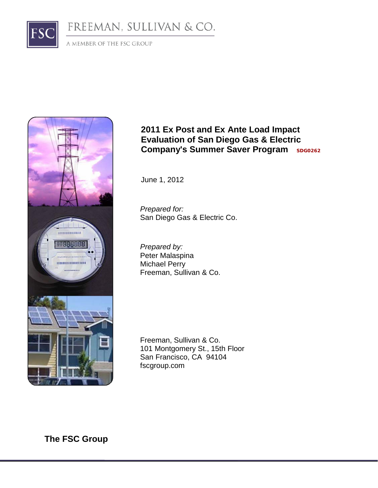# FREEMAN, SULLIVAN & CO.

A MEMBER OF THE FSC GROUP

ESC



## **2011 Ex Post and Ex Ante Load Impact Evaluation of San Diego Gas & Electric Company's Summer Saver Program SDG0262**

June 1, 2012

*Prepared for:* San Diego Gas & Electric Co.

*Prepared by:* Peter Malaspina Michael Perry Freeman, Sullivan & Co.

Freeman, Sullivan & Co. 101 Montgomery St., 15th Floor San Francisco, CA 94104 fscgroup.com

**The FSC Group**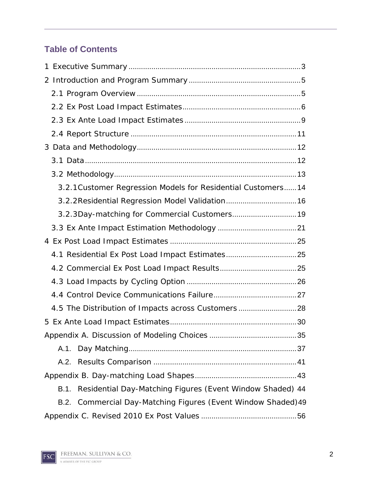## **Table of Contents**

| 3.2.1 Customer Regression Models for Residential Customers 14     |  |
|-------------------------------------------------------------------|--|
| 3.2.2 Residential Regression Model Validation 16                  |  |
| 3.2.3Day-matching for Commercial Customers 19                     |  |
|                                                                   |  |
|                                                                   |  |
| 4.1 Residential Ex Post Load Impact Estimates 25                  |  |
|                                                                   |  |
|                                                                   |  |
|                                                                   |  |
| 4.5 The Distribution of Impacts across Customers28                |  |
|                                                                   |  |
|                                                                   |  |
|                                                                   |  |
|                                                                   |  |
|                                                                   |  |
| Residential Day-Matching Figures (Event Window Shaded) 44<br>B.1. |  |
| B.2. Commercial Day-Matching Figures (Event Window Shaded) 49     |  |
|                                                                   |  |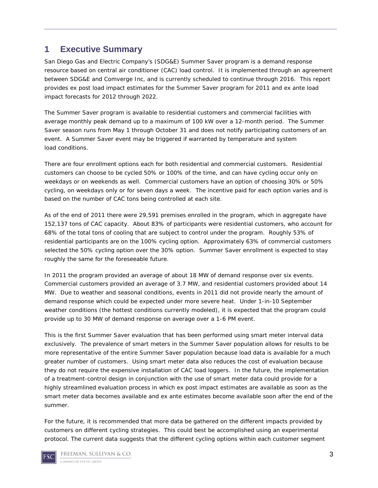## <span id="page-2-0"></span>**1 Executive Summary**

San Diego Gas and Electric Company's (SDG&E) Summer Saver program is a demand response resource based on central air conditioner (CAC) load control. It is implemented through an agreement between SDG&E and Comverge Inc, and is currently scheduled to continue through 2016. This report provides ex post load impact estimates for the Summer Saver program for 2011 and ex ante load impact forecasts for 2012 through 2022.

The Summer Saver program is available to residential customers and commercial facilities with average monthly peak demand up to a maximum of 100 kW over a 12-month period. The Summer Saver season runs from May 1 through October 31 and does not notify participating customers of an event. A Summer Saver event may be triggered if warranted by temperature and system load conditions.

There are four enrollment options each for both residential and commercial customers. Residential customers can choose to be cycled 50% or 100% of the time, and can have cycling occur only on weekdays or on weekends as well. Commercial customers have an option of choosing 30% or 50% cycling, on weekdays only or for seven days a week. The incentive paid for each option varies and is based on the number of CAC tons being controlled at each site.

As of the end of 2011 there were 29,591 premises enrolled in the program, which in aggregate have 152,137 tons of CAC capacity. About 83% of participants were residential customers, who account for 68% of the total tons of cooling that are subject to control under the program. Roughly 53% of residential participants are on the 100% cycling option. Approximately 63% of commercial customers selected the 50% cycling option over the 30% option. Summer Saver enrollment is expected to stay roughly the same for the foreseeable future.

In 2011 the program provided an average of about 18 MW of demand response over six events. Commercial customers provided an average of 3.7 MW, and residential customers provided about 14 MW. Due to weather and seasonal conditions, events in 2011 did not provide nearly the amount of demand response which could be expected under more severe heat. Under 1-in-10 September weather conditions (the hottest conditions currently modeled), it is expected that the program could provide up to 30 MW of demand response on average over a 1-6 PM event.

This is the first Summer Saver evaluation that has been performed using smart meter interval data exclusively. The prevalence of smart meters in the Summer Saver population allows for results to be more representative of the entire Summer Saver population because load data is available for a much greater number of customers. Using smart meter data also reduces the cost of evaluation because they do not require the expensive installation of CAC load loggers. In the future, the implementation of a treatment-control design in conjunction with the use of smart meter data could provide for a highly streamlined evaluation process in which ex post impact estimates are available as soon as the smart meter data becomes available and ex ante estimates become available soon after the end of the summer.

For the future, it is recommended that more data be gathered on the different impacts provided by customers on different cycling strategies. This could best be accomplished using an experimental protocol. The current data suggests that the different cycling options within each customer segment

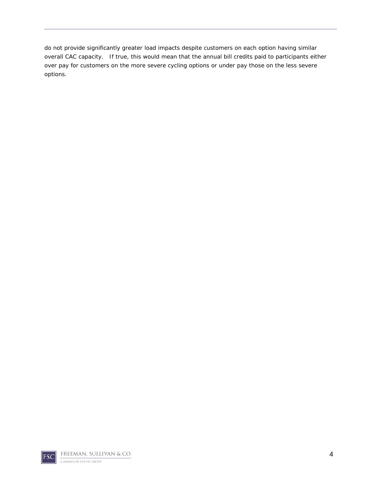do not provide significantly greater load impacts despite customers on each option having similar overall CAC capacity. If true, this would mean that the annual bill credits paid to participants either over pay for customers on the more severe cycling options or under pay those on the less severe options.

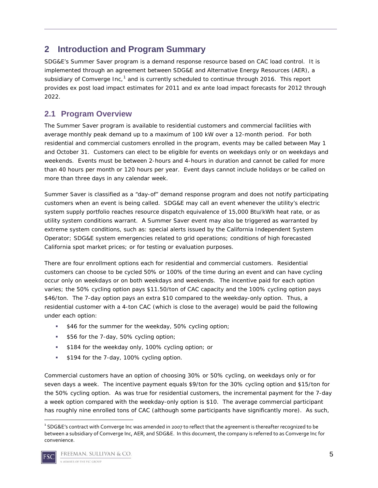## <span id="page-4-0"></span>**2 Introduction and Program Summary**

SDG&E's Summer Saver program is a demand response resource based on CAC load control. It is implemented through an agreement between SDG&E and Alternative Energy Resources (AER), a subsidiary of Comverge Inc,<sup>[1](#page-4-2)</sup> and is currently scheduled to continue through 2016. This report provides ex post load impact estimates for 2011 and ex ante load impact forecasts for 2012 through 2022.

## <span id="page-4-1"></span>**2.1 Program Overview**

The Summer Saver program is available to residential customers and commercial facilities with average monthly peak demand up to a maximum of 100 kW over a 12-month period. For both residential and commercial customers enrolled in the program, events may be called between May 1 and October 31. Customers can elect to be eligible for events on weekdays only or on weekdays and weekends. Events must be between 2-hours and 4-hours in duration and cannot be called for more than 40 hours per month or 120 hours per year. Event days cannot include holidays or be called on more than three days in any calendar week.

Summer Saver is classified as a "day-of" demand response program and does not notify participating customers when an event is being called. SDG&E may call an event whenever the utility's electric system supply portfolio reaches resource dispatch equivalence of 15,000 Btu/kWh heat rate, or as utility system conditions warrant. A Summer Saver event may also be triggered as warranted by extreme system conditions, such as: special alerts issued by the California Independent System Operator; SDG&E system emergencies related to grid operations; conditions of high forecasted California spot market prices; or for testing or evaluation purposes.

There are four enrollment options each for residential and commercial customers. Residential customers can choose to be cycled 50% or 100% of the time during an event and can have cycling occur only on weekdays or on both weekdays and weekends. The incentive paid for each option varies; the 50% cycling option pays \$11.50/ton of CAC capacity and the 100% cycling option pays \$46/ton. The 7-day option pays an extra \$10 compared to the weekday-only option. Thus, a residential customer with a 4-ton CAC (which is close to the average) would be paid the following under each option:

- **\$46 for the summer for the weekday, 50% cycling option;**
- **\$56 for the 7-day, 50% cycling option;**
- **\$184 for the weekday only, 100% cycling option; or**
- **\$194 for the 7-day, 100% cycling option.**

Commercial customers have an option of choosing 30% or 50% cycling, on weekdays only or for seven days a week. The incentive payment equals \$9/ton for the 30% cycling option and \$15/ton for the 50% cycling option. As was true for residential customers, the incremental payment for the 7-day a week option compared with the weekday-only option is \$10. The average commercial participant has roughly nine enrolled tons of CAC (although some participants have significantly more). As such,

<span id="page-4-2"></span><sup>|&</sup>lt;br>1 <sup>1</sup> SDG&E's contract with Comverge Inc was amended in 2007 to reflect that the agreement is thereafter recognized to be between a subsidiary of Comverge Inc, AER, and SDG&E. In this document, the company is referred to as Comverge Inc for convenience.

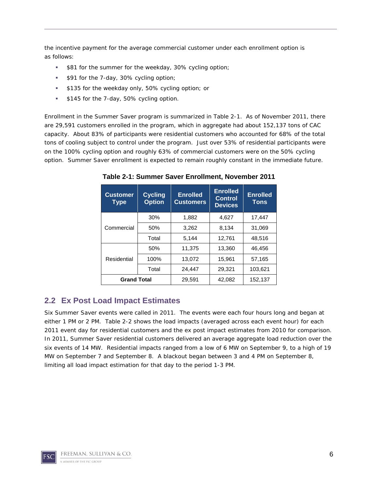the incentive payment for the average commercial customer under each enrollment option is as follows:

- **\$81 for the summer for the weekday, 30% cycling option;**
- **\$91 for the 7-day, 30% cycling option;**
- **\$135 for the weekday only, 50% cycling option; or**
- **\$145 for the 7-day, 50% cycling option.**

Enrollment in the Summer Saver program is summarized in Table 2-1. As of November 2011, there are 29,591 customers enrolled in the program, which in aggregate had about 152,137 tons of CAC capacity. About 83% of participants were residential customers who accounted for 68% of the total tons of cooling subject to control under the program. Just over 53% of residential participants were on the 100% cycling option and roughly 63% of commercial customers were on the 50% cycling option. Summer Saver enrollment is expected to remain roughly constant in the immediate future.

| <b>Customer</b><br><b>Type</b> | <b>Cycling</b><br><b>Option</b> | <b>Enrolled</b><br><b>Customers</b> | <b>Enrolled</b><br><b>Control</b><br><b>Devices</b> | <b>Enrolled</b><br><b>Tons</b> |
|--------------------------------|---------------------------------|-------------------------------------|-----------------------------------------------------|--------------------------------|
|                                | 30%                             | 1,882                               | 4,627                                               | 17,447                         |
| Commercial                     | 50%                             | 3,262                               | 8,134                                               | 31,069                         |
|                                | Total                           | 5.144                               | 12,761                                              | 48,516                         |
|                                | 50%                             | 11,375                              | 13,360                                              | 46,456                         |
| Residential                    | 100%                            | 13,072                              | 15,961                                              | 57,165                         |
|                                | Total                           | 24,447                              | 29,321                                              | 103,621                        |
| <b>Grand Total</b>             |                                 | 29,591                              | 42,082                                              | 152,137                        |

**Table 2-1: Summer Saver Enrollment, November 2011**

#### <span id="page-5-0"></span>**2.2 Ex Post Load Impact Estimates**

Six Summer Saver events were called in 2011. The events were each four hours long and began at either 1 PM or 2 PM. Table 2-2 shows the load impacts (averaged across each event hour) for each 2011 event day for residential customers and the ex post impact estimates from 2010 for comparison. In 2011, Summer Saver residential customers delivered an average aggregate load reduction over the six events of 14 MW. Residential impacts ranged from a low of 6 MW on September 9, to a high of 19 MW on September 7 and September 8. A blackout began between 3 and 4 PM on September 8, limiting all load impact estimation for that day to the period 1-3 PM.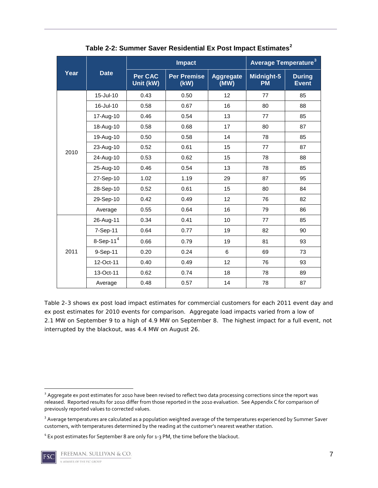|                     |                          |                      | <b>Impact</b>              | <b>Average Temperature<sup>3</sup></b> |                         |                               |
|---------------------|--------------------------|----------------------|----------------------------|----------------------------------------|-------------------------|-------------------------------|
| <b>Date</b><br>Year |                          | Per CAC<br>Unit (kW) | <b>Per Premise</b><br>(KW) | <b>Aggregate</b><br>(MW)               | Midnight-5<br><b>PM</b> | <b>During</b><br><b>Event</b> |
|                     | 15-Jul-10                | 0.43                 | 0.50                       | 12                                     | 77                      | 85                            |
|                     | 16-Jul-10                | 0.58                 | 0.67                       | 16                                     | 80                      | 88                            |
|                     | 17-Aug-10                | 0.46                 | 0.54                       | 13                                     | 77                      | 85                            |
|                     | 18-Aug-10                | 0.58                 | 0.68                       | 17                                     | 80                      | 87                            |
|                     | 19-Aug-10                | 0.50                 | 0.58                       | 14                                     | 78                      | 85                            |
| 2010                | 23-Aug-10                | 0.52                 | 0.61                       | 15                                     | 77                      | 87                            |
|                     | 24-Aug-10                | 0.53                 | 0.62                       | 15                                     | 78                      | 88                            |
|                     | 25-Aug-10                | 0.46                 | 0.54                       | 13                                     | 78                      | 85                            |
|                     | 27-Sep-10                | 1.02                 | 1.19                       | 29                                     | 87                      | 95                            |
|                     | 28-Sep-10                | 0.52                 | 0.61                       | 15                                     | 80                      | 84                            |
|                     | 29-Sep-10                | 0.42                 | 0.49                       | 12                                     | 76                      | 82                            |
|                     | Average                  | 0.55                 | 0.64                       | 16                                     | 79                      | 86                            |
|                     | 26-Aug-11                | 0.34                 | 0.41                       | 10                                     | 77                      | 85                            |
|                     | 7-Sep-11                 | 0.64                 | 0.77                       | 19                                     | 82                      | 90                            |
|                     | $8-$ Sep-11 <sup>4</sup> | 0.66                 | 0.79                       | 19                                     | 81                      | 93                            |
| 2011                | 9-Sep-11                 | 0.20                 | 0.24                       | 6                                      | 69                      | 73                            |
|                     | 12-Oct-11                | 0.40                 | 0.49                       | 12                                     | 76                      | 93                            |
|                     | 13-Oct-11                | 0.62                 | 0.74                       | 18                                     | 78                      | 89                            |
|                     | Average                  | 0.48                 | 0.57                       | 14                                     | 78                      | 87                            |

**Table 2-2: Summer Saver Residential Ex Post Impact Estimates[2](#page-6-0)**

Table 2-3 shows ex post load impact estimates for commercial customers for each 2011 event day and ex post estimates for 2010 events for comparison. Aggregate load impacts varied from a low of 2.1 MW on September 9 to a high of 4.9 MW on September 8. The highest impact for a full event, not interrupted by the blackout, was 4.4 MW on August 26.

<span id="page-6-0"></span><sup>&</sup>lt;sup>2</sup> Aggregate ex post estimates for 2010 have been revised to reflect two data processing corrections since the report was released. Reported results for 2010 differ from those reported in the 2010 evaluation. See Appendix C for comparison of previously reported values to corrected values.

<span id="page-6-1"></span><sup>&</sup>lt;sup>3</sup> Average temperatures are calculated as a population weighted average of the temperatures experienced by Summer Saver customers, with temperatures determined by the reading at the customer's nearest weather station.

<span id="page-6-2"></span><sup>&</sup>lt;sup>4</sup> Ex post estimates for September 8 are only for 1-3 PM, the time before the blackout.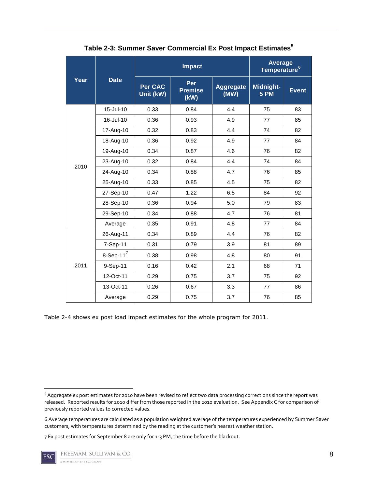|      |               |                             | <b>Impact</b>                 | Average<br>Temperature <sup>6</sup> |                   |              |
|------|---------------|-----------------------------|-------------------------------|-------------------------------------|-------------------|--------------|
| Year | <b>Date</b>   | <b>Per CAC</b><br>Unit (kW) | Per<br><b>Premise</b><br>(kW) | <b>Aggregate</b><br>(MW)            | Midnight-<br>5 PM | <b>Event</b> |
|      | 15-Jul-10     | 0.33                        | 0.84                          | 4.4                                 | 75                | 83           |
|      | 16-Jul-10     | 0.36                        | 0.93                          | 4.9                                 | 77                | 85           |
|      | 17-Aug-10     | 0.32                        | 0.83                          | 4.4                                 | 74                | 82           |
|      | 18-Aug-10     | 0.36                        | 0.92                          | 4.9                                 | 77                | 84           |
|      | 19-Aug-10     | 0.34                        | 0.87                          | 4.6                                 | 76                | 82           |
| 2010 | 23-Aug-10     | 0.32                        | 0.84                          | 4.4                                 | 74                | 84           |
|      | 24-Aug-10     | 0.34                        | 0.88                          | 4.7                                 | 76                | 85           |
|      | 25-Aug-10     | 0.33                        | 0.85                          | 4.5                                 | 75                | 82           |
|      | 27-Sep-10     | 0.47                        | 1.22                          | 6.5                                 | 84                | 92           |
|      | 28-Sep-10     | 0.36                        | 0.94                          | 5.0                                 | 79                | 83           |
|      | 29-Sep-10     | 0.34                        | 0.88                          | 4.7                                 | 76                | 81           |
|      | Average       | 0.35                        | 0.91                          | 4.8                                 | 77                | 84           |
|      | 26-Aug-11     | 0.34                        | 0.89                          | 4.4                                 | 76                | 82           |
|      | 7-Sep-11      | 0.31                        | 0.79                          | 3.9                                 | 81                | 89           |
|      | 8-Sep-11 $^7$ | 0.38                        | 0.98                          | 4.8                                 | 80                | 91           |
| 2011 | 9-Sep-11      | 0.16                        | 0.42                          | 2.1                                 | 68                | 71           |
|      | 12-Oct-11     | 0.29                        | 0.75                          | 3.7                                 | 75                | 92           |
|      | 13-Oct-11     | 0.26                        | 0.67                          | 3.3                                 | 77                | 86           |
|      | Average       | 0.29                        | 0.75                          | 3.7                                 | 76                | 85           |

**Table 2-3: Summer Saver Commercial Ex Post Impact Estimates[5](#page-7-0)**

Table 2-4 shows ex post load impact estimates for the whole program for 2011.

<span id="page-7-2"></span><sup>7</sup> Ex post estimates for September 8 are only for 1-3 PM, the time before the blackout.



<span id="page-7-0"></span><sup>5</sup> Aggregate ex post estimates for 2010 have been revised to reflect two data processing corrections since the report was released. Reported results for 2010 differ from those reported in the 2010 evaluation. See Appendix C for comparison of previously reported values to corrected values.

<span id="page-7-1"></span><sup>6</sup> Average temperatures are calculated as a population weighted average of the temperatures experienced by Summer Saver customers, with temperatures determined by the reading at the customer's nearest weather station.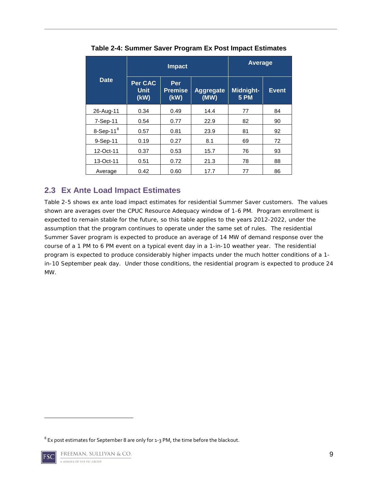|              |                         | <b>Impact</b>                 | Average                  |                          |              |
|--------------|-------------------------|-------------------------------|--------------------------|--------------------------|--------------|
| <b>Date</b>  | Per CAC<br>Unit<br>(kW) | Per<br><b>Premise</b><br>(kW) | <b>Aggregate</b><br>(MW) | Midnight-<br><b>5 PM</b> | <b>Event</b> |
| 26-Aug-11    | 0.34                    | 0.49                          | 14.4                     | 77                       | 84           |
| 7-Sep-11     | 0.54                    | 0.77                          | 22.9                     | 82                       | 90           |
| 8-Sep-11 $8$ | 0.57                    | 0.81                          | 23.9                     | 81                       | 92           |
| 9-Sep-11     | 0.19                    | 0.27                          | 8.1                      | 69                       | 72           |
| 12-Oct-11    | 0.37                    | 0.53                          | 15.7                     | 76                       | 93           |
| 13-Oct-11    | 0.51                    | 0.72                          | 21.3                     | 78                       | 88           |
| Average      | 0.42                    | 0.60                          | 17.7                     | 77                       | 86           |

**Table 2-4: Summer Saver Program Ex Post Impact Estimates**

#### <span id="page-8-0"></span>**2.3 Ex Ante Load Impact Estimates**

Table 2-5 shows ex ante load impact estimates for residential Summer Saver customers. The values shown are averages over the CPUC Resource Adequacy window of 1-6 PM. Program enrollment is expected to remain stable for the future, so this table applies to the years 2012-2022, under the assumption that the program continues to operate under the same set of rules. The residential Summer Saver program is expected to produce an average of 14 MW of demand response over the course of a 1 PM to 6 PM event on a typical event day in a 1-in-10 weather year. The residential program is expected to produce considerably higher impacts under the much hotter conditions of a 1 in-10 September peak day. Under those conditions, the residential program is expected to produce 24 MW.

<span id="page-8-1"></span> $\overline{\phantom{a}}$ 

<span id="page-8-2"></span> $8$  Ex post estimates for September 8 are only for 1-3 PM, the time before the blackout.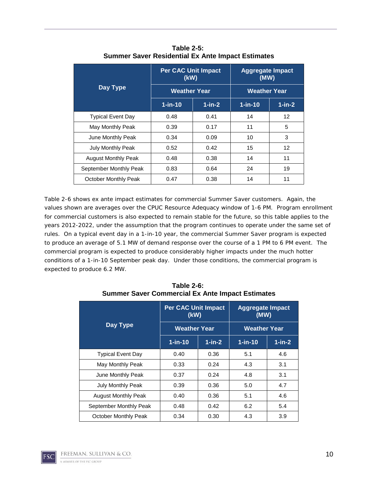|                            | <b>Per CAC Unit Impact</b><br>(kW) |           | <b>Aggregate Impact</b><br>(MW) |                   |  |
|----------------------------|------------------------------------|-----------|---------------------------------|-------------------|--|
| Day Type                   | <b>Weather Year</b>                |           | <b>Weather Year</b>             |                   |  |
|                            | $1$ -in-10                         | $1$ -in-2 | $1$ -in-10                      | $1$ -in-2         |  |
| <b>Typical Event Day</b>   | 0.48                               | 0.41      | 14                              | $12 \overline{ }$ |  |
| May Monthly Peak           | 0.39                               | 0.17      | 11                              | 5                 |  |
| June Monthly Peak          | 0.34                               | 0.09      | 10                              | 3                 |  |
| <b>July Monthly Peak</b>   | 0.52                               | 0.42      | 15                              | $12 \overline{ }$ |  |
| <b>August Monthly Peak</b> | 0.48                               | 0.38      | 14                              | 11                |  |
| September Monthly Peak     | 0.83                               | 0.64      | 24                              | 19                |  |
| October Monthly Peak       | 0.47                               | 0.38      | 14                              | 11                |  |

**Table 2-5: Summer Saver Residential Ex Ante Impact Estimates**

Table 2-6 shows ex ante impact estimates for commercial Summer Saver customers. Again, the values shown are averages over the CPUC Resource Adequacy window of 1-6 PM. Program enrollment for commercial customers is also expected to remain stable for the future, so this table applies to the years 2012-2022, under the assumption that the program continues to operate under the same set of rules. On a typical event day in a 1-in-10 year, the commercial Summer Saver program is expected to produce an average of 5.1 MW of demand response over the course of a 1 PM to 6 PM event. The commercial program is expected to produce considerably higher impacts under the much hotter conditions of a 1-in-10 September peak day. Under those conditions, the commercial program is expected to produce 6.2 MW.

|                            | <b>Per CAC Unit Impact</b><br>(kW) |           | <b>Aggregate Impact</b><br>(MW) |              |  |
|----------------------------|------------------------------------|-----------|---------------------------------|--------------|--|
| Day Type                   | <b>Weather Year</b>                |           | <b>Weather Year</b>             |              |  |
|                            | $1$ -in-10                         | $1$ -in-2 | $1$ -in-10                      | $1$ -in- $2$ |  |
| <b>Typical Event Day</b>   | 0.40                               | 0.36      | 5.1                             | 4.6          |  |
| May Monthly Peak           | 0.33                               | 0.24      | 4.3                             | 3.1          |  |
| June Monthly Peak          | 0.37                               | 0.24      | 4.8                             | 3.1          |  |
| July Monthly Peak          | 0.39                               | 0.36      | 5.0                             | 4.7          |  |
| <b>August Monthly Peak</b> | 0.40                               | 0.36      | 5.1                             | 4.6          |  |
| September Monthly Peak     | 0.48                               | 0.42      | 6.2                             | 5.4          |  |
| October Monthly Peak       | 0.34                               | 0.30      | 4.3                             | 3.9          |  |

**Table 2-6: Summer Saver Commercial Ex Ante Impact Estimates**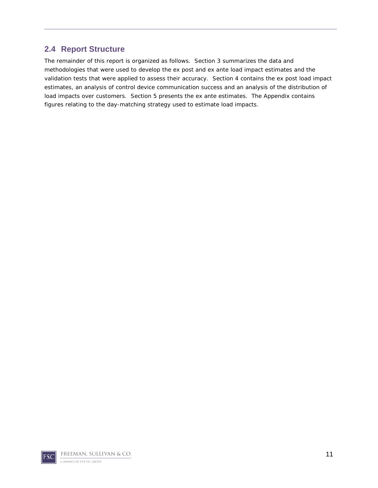#### <span id="page-10-0"></span>**2.4 Report Structure**

The remainder of this report is organized as follows. Section 3 summarizes the data and methodologies that were used to develop the ex post and ex ante load impact estimates and the validation tests that were applied to assess their accuracy. Section 4 contains the ex post load impact estimates, an analysis of control device communication success and an analysis of the distribution of load impacts over customers. Section 5 presents the ex ante estimates. The Appendix contains figures relating to the day-matching strategy used to estimate load impacts.

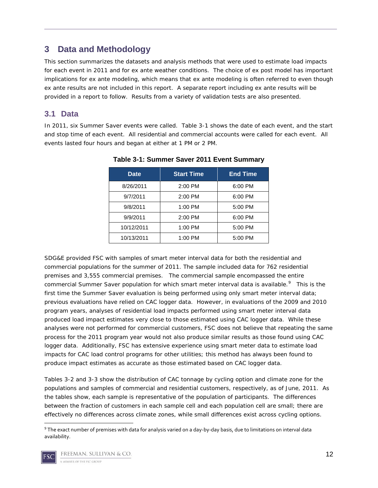## <span id="page-11-0"></span>**3 Data and Methodology**

This section summarizes the datasets and analysis methods that were used to estimate load impacts for each event in 2011 and for ex ante weather conditions. The choice of ex post model has important implications for ex ante modeling, which means that ex ante modeling is often referred to even though ex ante results are not included in this report. A separate report including ex ante results will be provided in a report to follow. Results from a variety of validation tests are also presented.

#### <span id="page-11-1"></span>**3.1 Data**

In 2011, six Summer Saver events were called. Table 3-1 shows the date of each event, and the start and stop time of each event. All residential and commercial accounts were called for each event. All events lasted four hours and began at either at 1 PM or 2 PM.

| <b>Date</b> | <b>Start Time</b> | <b>End Time</b> |
|-------------|-------------------|-----------------|
| 8/26/2011   | 2:00 PM           | 6:00 PM         |
| 9/7/2011    | $2:00$ PM         | 6:00 PM         |
| 9/8/2011    | $1:00$ PM         | 5:00 PM         |
| 9/9/2011    | 2:00 PM           | 6:00 PM         |
| 10/12/2011  | 1:00 PM           | 5:00 PM         |
| 10/13/2011  | 1:00 PM           | 5:00 PM         |

#### **Table 3-1: Summer Saver 2011 Event Summary**

SDG&E provided FSC with samples of smart meter interval data for both the residential and commercial populations for the summer of 2011. The sample included data for 762 residential premises and 3,555 commercial premises. The commercial sample encompassed the entire commercial Summer Saver population for which smart meter interval data is available.<sup>[9](#page-11-2)</sup> This is the first time the Summer Saver evaluation is being performed using only smart meter interval data; previous evaluations have relied on CAC logger data. However, in evaluations of the 2009 and 2010 program years, analyses of residential load impacts performed using smart meter interval data produced load impact estimates very close to those estimated using CAC logger data. While these analyses were not performed for commercial customers, FSC does not believe that repeating the same process for the 2011 program year would not also produce similar results as those found using CAC logger data. Additionally, FSC has extensive experience using smart meter data to estimate load impacts for CAC load control programs for other utilities; this method has always been found to produce impact estimates as accurate as those estimated based on CAC logger data.

Tables 3-2 and 3-3 show the distribution of CAC tonnage by cycling option and climate zone for the populations and samples of commercial and residential customers, respectively, as of June, 2011. As the tables show, each sample is representative of the population of participants. The differences between the fraction of customers in each sample cell and each population cell are small; there are effectively no differences across climate zones, while small differences exist across cycling options.

<span id="page-11-2"></span><sup>&</sup>lt;sup>9</sup> The exact number of premises with data for analysis varied on a day-by-day basis, due to limitations on interval data availability.

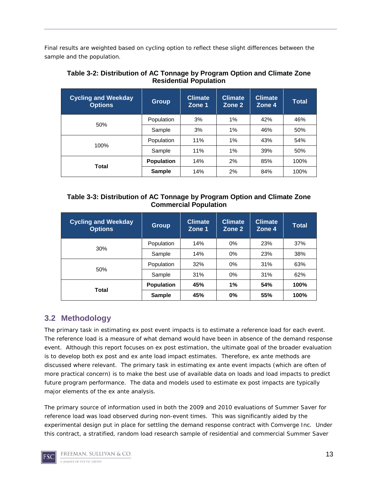Final results are weighted based on cycling option to reflect these slight differences between the sample and the population.

| <b>Cycling and Weekday</b><br><b>Options</b> | <b>Group</b>      | <b>Climate</b><br>Zone 1 | <b>Climate</b><br>Zone 2 | <b>Climate</b><br>Zone 4 | <b>Total</b> |
|----------------------------------------------|-------------------|--------------------------|--------------------------|--------------------------|--------------|
| 50%                                          | Population        | 3%                       | $1\%$                    | 42%                      | 46%          |
|                                              | Sample            | 3%                       | $1\%$                    | 46%                      | 50%          |
| 100%                                         | Population        | 11%                      | 1%                       | 43%                      | 54%          |
|                                              | Sample            | 11%                      | $1\%$                    | 39%                      | 50%          |
| Total                                        | <b>Population</b> | 14%                      | 2%                       | 85%                      | 100%         |
|                                              | <b>Sample</b>     | 14%                      | 2%                       | 84%                      | 100%         |

#### **Table 3-2: Distribution of AC Tonnage by Program Option and Climate Zone Residential Population**

| Table 3-3: Distribution of AC Tonnage by Program Option and Climate Zone |  |
|--------------------------------------------------------------------------|--|
| <b>Commercial Population</b>                                             |  |

| <b>Cycling and Weekday</b><br><b>Options</b> | Group             | <b>Climate</b><br>Zone 1 | <b>Climate</b><br>Zone 2 | <b>Climate</b><br>Zone 4 | Total |
|----------------------------------------------|-------------------|--------------------------|--------------------------|--------------------------|-------|
| 30%                                          | Population        | 14%                      | 0%                       | 23%                      | 37%   |
|                                              | Sample            | 14%                      | 0%                       | 23%                      | 38%   |
| 50%                                          | Population        | 32%                      | 0%                       | 31%                      | 63%   |
|                                              | Sample            | 31%                      | 0%                       | 31%                      | 62%   |
| Total                                        | <b>Population</b> | 45%                      | 1%                       | 54%                      | 100%  |
|                                              | <b>Sample</b>     | 45%                      | 0%                       | 55%                      | 100%  |

## <span id="page-12-0"></span>**3.2 Methodology**

The primary task in estimating ex post event impacts is to estimate a reference load for each event. The reference load is a measure of what demand would have been in absence of the demand response event. Although this report focuses on ex post estimation, the ultimate goal of the broader evaluation is to develop both ex post and ex ante load impact estimates. Therefore, ex ante methods are discussed where relevant. The primary task in estimating ex ante event impacts (which are often of more practical concern) is to make the best use of available data on loads and load impacts to predict future program performance. The data and models used to estimate ex post impacts are typically major elements of the ex ante analysis.

The primary source of information used in both the 2009 and 2010 evaluations of Summer Saver for reference load was load observed during non-event times. This was significantly aided by the experimental design put in place for settling the demand response contract with Comverge Inc. Under this contract, a stratified, random load research sample of residential and commercial Summer Saver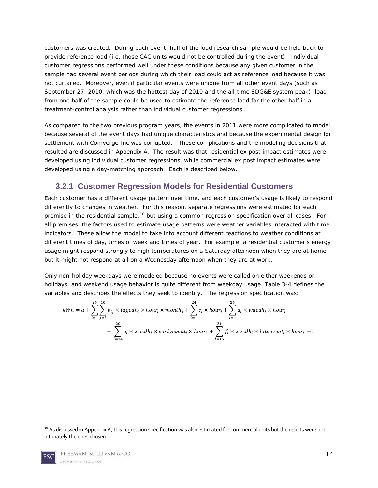customers was created. During each event, half of the load research sample would be held back to provide reference load (*i.e.* those CAC units would not be controlled during the event). Individual customer regressions performed well under these conditions because any given customer in the sample had several event periods during which their load could act as reference load because it was not curtailed. Moreover, even if particular events were unique from all other event days (such as September 27, 2010, which was the hottest day of 2010 and the all-time SDG&E system peak), load from one half of the sample could be used to estimate the reference load for the other half in a treatment-control analysis rather than individual customer regressions.

As compared to the two previous program years, the events in 2011 were more complicated to model because several of the event days had unique characteristics and because the experimental design for settlement with Comverge Inc was corrupted. These complications and the modeling decisions that resulted are discussed in Appendix A. The result was that residential ex post impact estimates were developed using individual customer regressions, while commercial ex post impact estimates were developed using a day-matching approach. Each is described below.

#### <span id="page-13-0"></span>**3.2.1 Customer Regression Models for Residential Customers**

Each customer has a different usage pattern over time, and each customer's usage is likely to respond differently to changes in weather. For this reason, separate regressions were estimated for each premise in the residential sample,<sup>[10](#page-13-1)</sup> but using a common regression specification over all cases. For all premises, the factors used to estimate usage patterns were weather variables interacted with time indicators. These allow the model to take into account different reactions to weather conditions at different times of day, times of week and times of year. For example, a residential customer's energy usage might respond strongly to high temperatures on a Saturday afternoon when they are at home, but it might not respond at all on a Wednesday afternoon when they are at work.

Only non-holiday weekdays were modeled because no events were called on either weekends or holidays, and weekend usage behavior is quite different from weekday usage. Table 3-4 defines the variables and describes the effects they seek to identify. The regression specification was:

$$
kWh = a + \sum_{i=1}^{24} \sum_{j=5}^{10} b_{ij} \times lagcdh_i \times hour_i \times month_j + \sum_{i=1}^{24} c_i \times hour_i + \sum_{i=1}^{24} d_i \times wacdh_i \times hour_i
$$
  
+ 
$$
\sum_{i=14}^{20} e_i \times wacdh_i \times earlyevent_i \times hour_i + \sum_{i=15}^{21} f_i \times wacdh_i \times lateevent_i \times hour_i + \varepsilon
$$

<span id="page-13-1"></span><sup>&</sup>lt;sup>10</sup> As discussed in Appendix A, this regression specification was also estimated for commercial units but the results were not ultimately the ones chosen.

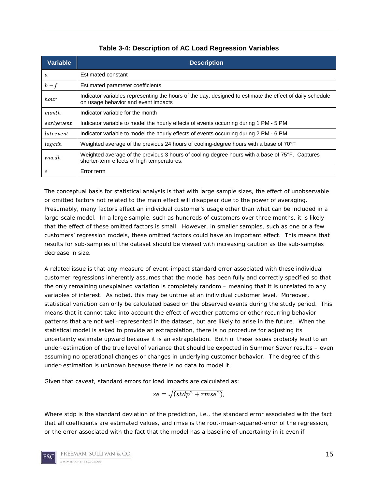| <b>Variable</b> | <b>Description</b>                                                                                                                              |
|-----------------|-------------------------------------------------------------------------------------------------------------------------------------------------|
| a               | Estimated constant                                                                                                                              |
| $b-f$           | Estimated parameter coefficients                                                                                                                |
| hour            | Indicator variables representing the hours of the day, designed to estimate the effect of daily schedule<br>on usage behavior and event impacts |
| month           | Indicator variable for the month                                                                                                                |
| earlyevent      | Indicator variable to model the hourly effects of events occurring during 1 PM - 5 PM                                                           |
| lateevent       | Indicator variable to model the hourly effects of events occurring during 2 PM - 6 PM                                                           |
| lagcdh          | Weighted average of the previous 24 hours of cooling-degree hours with a base of 70°F                                                           |
| wacdh           | Weighted average of the previous 3 hours of cooling-degree hours with a base of 75°F. Captures<br>shorter-term effects of high temperatures.    |
| ε               | Error term                                                                                                                                      |

**Table 3-4: Description of AC Load Regression Variables**

The conceptual basis for statistical analysis is that with large sample sizes, the effect of unobservable or omitted factors not related to the main effect will disappear due to the power of averaging. Presumably, many factors affect an individual customer's usage other than what can be included in a large-scale model. In a large sample, such as hundreds of customers over three months, it is likely that the effect of these omitted factors is small. However, in smaller samples, such as one or a few customers' regression models, these omitted factors could have an important effect. This means that results for sub-samples of the dataset should be viewed with increasing caution as the sub-samples decrease in size.

A related issue is that any measure of event-impact standard error associated with these individual customer regressions inherently assumes that the model has been fully and correctly specified so that the only remaining unexplained variation is completely random – meaning that it is unrelated to any variables of interest. As noted, this may be untrue at an individual customer level. Moreover, statistical variation can only be calculated based on the observed events during the study period. This means that it cannot take into account the effect of weather patterns or other recurring behavior patterns that are not well-represented in the dataset, but are likely to arise in the future. When the statistical model is asked to provide an extrapolation, there is no procedure for adjusting its uncertainty estimate upward because it is an extrapolation. Both of these issues probably lead to an under-estimation of the true level of variance that should be expected in Summer Saver results – even assuming no operational changes or changes in underlying customer behavior. The degree of this under-estimation is unknown because there is no data to model it.

Given that caveat, standard errors for load impacts are calculated as:

$$
se = \sqrt{(stdp^2 + rmse^2)},
$$

Where *stdp* is the standard deviation of the prediction, *i.e.*, the standard error associated with the fact that all coefficients are estimated values, and *rmse* is the root-mean-squared-error of the regression, or the error associated with the fact that the model has a baseline of uncertainty in it even if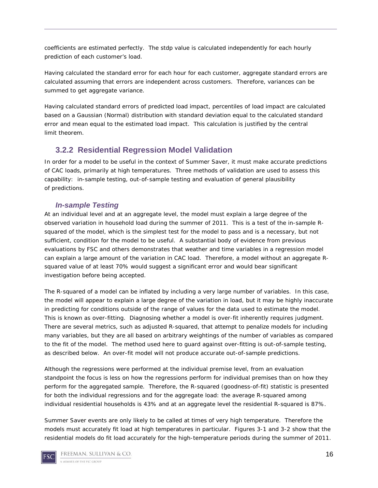coefficients are estimated perfectly. The *stdp* value is calculated independently for each hourly prediction of each customer's load.

Having calculated the standard error for each hour for each customer, aggregate standard errors are calculated assuming that errors are independent across customers. Therefore, variances can be summed to get aggregate variance.

Having calculated standard errors of predicted load impact, percentiles of load impact are calculated based on a Gaussian (Normal) distribution with standard deviation equal to the calculated standard error and mean equal to the estimated load impact. This calculation is justified by the central limit theorem.

## <span id="page-15-0"></span>**3.2.2 Residential Regression Model Validation**

In order for a model to be useful in the context of Summer Saver, it must make accurate predictions of CAC loads, primarily at high temperatures. Three methods of validation are used to assess this capability: in-sample testing, out-of-sample testing and evaluation of general plausibility of predictions.

#### *In-sample Testing*

At an individual level and at an aggregate level, the model must explain a large degree of the observed variation in household load during the summer of 2011. This is a test of the in-sample Rsquared of the model, which is the simplest test for the model to pass and is a necessary, but not sufficient, condition for the model to be useful. A substantial body of evidence from previous evaluations by FSC and others demonstrates that weather and time variables in a regression model can explain a large amount of the variation in CAC load. Therefore, a model without an aggregate Rsquared value of at least 70% would suggest a significant error and would bear significant investigation before being accepted.

The R-squared of a model can be inflated by including a very large number of variables. In this case, the model will appear to explain a large degree of the variation in load, but it may be highly inaccurate in predicting for conditions outside of the range of values for the data used to estimate the model. This is known as over-fitting. Diagnosing whether a model is over-fit inherently requires judgment. There are several metrics, such as adjusted R-squared, that attempt to penalize models for including many variables, but they are all based on arbitrary weightings of the number of variables as compared to the fit of the model. The method used here to guard against over-fitting is out-of-sample testing, as described below. An over-fit model will not produce accurate out-of-sample predictions.

Although the regressions were performed at the individual premise level, from an evaluation standpoint the focus is less on how the regressions perform for individual premises than on how they perform for the aggregated sample. Therefore, the R-squared (goodness-of-fit) statistic is presented for both the individual regressions and for the aggregate load: the average R-squared among individual residential households is 43% and at an aggregate level the residential R-squared is 87%.

Summer Saver events are only likely to be called at times of very high temperature. Therefore the models must accurately fit load at high temperatures in particular. Figures 3-1 and 3-2 show that the residential models do fit load accurately for the high-temperature periods during the summer of 2011.

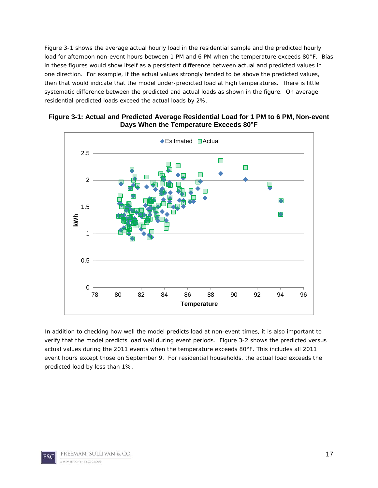Figure 3-1 shows the average actual hourly load in the residential sample and the predicted hourly load for afternoon non-event hours between 1 PM and 6 PM when the temperature exceeds 80°F. Bias in these figures would show itself as a persistent difference between actual and predicted values in one direction. For example, if the actual values strongly tended to be above the predicted values, then that would indicate that the model under-predicted load at high temperatures. There is little systematic difference between the predicted and actual loads as shown in the figure. On average, residential predicted loads exceed the actual loads by 2%.



**Figure 3-1: Actual and Predicted Average Residential Load for 1 PM to 6 PM, Non-event Days When the Temperature Exceeds 80°F**

In addition to checking how well the model predicts load at non-event times, it is also important to verify that the model predicts load well during event periods. Figure 3-2 shows the predicted versus actual values during the 2011 events when the temperature exceeds 80°F. This includes all 2011 event hours except those on September 9. For residential households, the actual load exceeds the predicted load by less than 1%.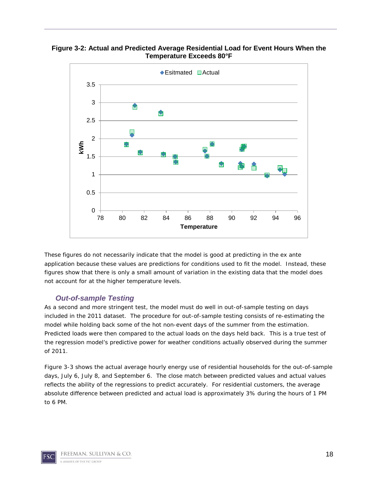**Figure 3-2: Actual and Predicted Average Residential Load for Event Hours When the Temperature Exceeds 80°F**



These figures do not necessarily indicate that the model is good at predicting in the ex ante application because these values are predictions for conditions used to fit the model. Instead, these figures show that there is only a small amount of variation in the existing data that the model does not account for at the higher temperature levels.

#### *Out-of-sample Testing*

As a second and more stringent test, the model must do well in out-of-sample testing on days included in the 2011 dataset. The procedure for out-of-sample testing consists of re-estimating the model while holding back some of the hot non-event days of the summer from the estimation. Predicted loads were then compared to the actual loads on the days held back. This is a true test of the regression model's predictive power for weather conditions actually observed during the summer of 2011.

Figure 3-3 shows the actual average hourly energy use of residential households for the out-of-sample days, July 6, July 8, and September 6. The close match between predicted values and actual values reflects the ability of the regressions to predict accurately. For residential customers, the average absolute difference between predicted and actual load is approximately 3% during the hours of 1 PM to 6 PM.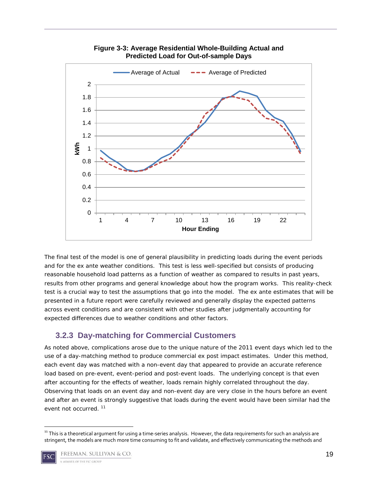

**Figure 3-3: Average Residential Whole-Building Actual and Predicted Load for Out-of-sample Days**

The final test of the model is one of general plausibility in predicting loads during the event periods and for the ex ante weather conditions. This test is less well-specified but consists of producing reasonable household load patterns as a function of weather as compared to results in past years, results from other programs and general knowledge about how the program works. This reality-check test is a crucial way to test the assumptions that go into the model. The ex ante estimates that will be presented in a future report were carefully reviewed and generally display the expected patterns across event conditions and are consistent with other studies after judgmentally accounting for expected differences due to weather conditions and other factors.

#### <span id="page-18-0"></span>**3.2.3 Day-matching for Commercial Customers**

As noted above, complications arose due to the unique nature of the 2011 event days which led to the use of a day-matching method to produce commercial ex post impact estimates. Under this method, each event day was matched with a non-event day that appeared to provide an accurate reference load based on pre-event, event-period and post-event loads. The underlying concept is that even after accounting for the effects of weather, loads remain highly correlated throughout the day. Observing that loads on an event day and non-event day are very close in the hours before an event and after an event is strongly suggestive that loads during the event would have been similar had the event not occurred. [11](#page-18-1)

<span id="page-18-1"></span><sup>&</sup>lt;sup>11</sup> This is a theoretical argument for using a time-series analysis. However, the data requirements for such an analysis are stringent, the models are much more time consuming to fit and validate, and effectively communicating the methods and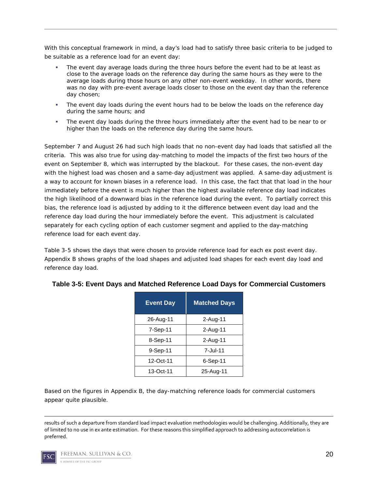With this conceptual framework in mind, a day's load had to satisfy three basic criteria to be judged to be suitable as a reference load for an event day:

- The event day average loads during the three hours before the event had to be at least as close to the average loads on the reference day during the same hours as they were to the average loads during those hours on any other non-event weekday. In other words, there was no day with pre-event average loads closer to those on the event day than the reference day chosen;
- The event day loads during the event hours had to be below the loads on the reference day during the same hours; and
- The event day loads during the three hours immediately after the event had to be near to or higher than the loads on the reference day during the same hours.

September 7 and August 26 had such high loads that no non-event day had loads that satisfied all the criteria. This was also true for using day-matching to model the impacts of the first two hours of the event on September 8, which was interrupted by the blackout. For these cases, the non-event day with the highest load was chosen and a same-day adjustment was applied. A same-day adjustment is a way to account for known biases in a reference load. In this case, the fact that that load in the hour immediately before the event is much higher than the highest available reference day load indicates the high likelihood of a downward bias in the reference load during the event. To partially correct this bias, the reference load is adjusted by adding to it the difference between event day load and the reference day load during the hour immediately before the event. This adjustment is calculated separately for each cycling option of each customer segment and applied to the day-matching reference load for each event day.

Table 3-5 shows the days that were chosen to provide reference load for each ex post event day. Appendix B shows graphs of the load shapes and adjusted load shapes for each event day load and reference day load.

| <b>Event Day</b> | <b>Matched Days</b> |
|------------------|---------------------|
| 26-Aug-11        | 2-Aug-11            |
| 7-Sep-11         | 2-Aug-11            |
| 8-Sep-11         | 2-Aug-11            |
| 9-Sep-11         | 7-Jul-11            |
| 12-Oct-11        | $6-Sep-11$          |
| 13-Oct-11        | 25-Aug-11           |

#### **Table 3-5: Event Days and Matched Reference Load Days for Commercial Customers**

Based on the figures in Appendix B, the day-matching reference loads for commercial customers appear quite plausible.

 $\overline{\phantom{a}}$ results of such a departure from standard load impact evaluation methodologies would be challenging. Additionally, they are of limited to no use in ex ante estimation. For these reasons this simplified approach to addressing autocorrelation is preferred.

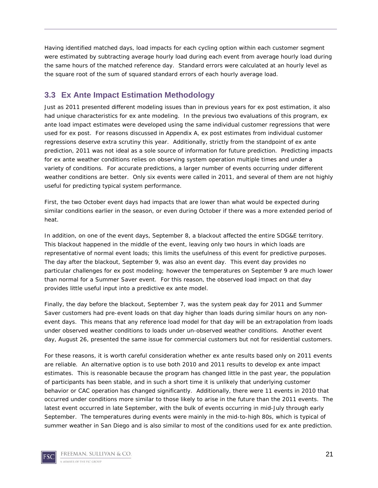Having identified matched days, load impacts for each cycling option within each customer segment were estimated by subtracting average hourly load during each event from average hourly load during the same hours of the matched reference day. Standard errors were calculated at an hourly level as the square root of the sum of squared standard errors of each hourly average load.

#### <span id="page-20-0"></span>**3.3 Ex Ante Impact Estimation Methodology**

Just as 2011 presented different modeling issues than in previous years for ex post estimation, it also had unique characteristics for ex ante modeling. In the previous two evaluations of this program, ex ante load impact estimates were developed using the same individual customer regressions that were used for ex post. For reasons discussed in Appendix A, ex post estimates from individual customer regressions deserve extra scrutiny this year. Additionally, strictly from the standpoint of ex ante prediction, 2011 was not ideal as a sole source of information for future prediction. Predicting impacts for ex ante weather conditions relies on observing system operation multiple times and under a variety of conditions. For accurate predictions, a larger number of events occurring under different weather conditions are better. Only six events were called in 2011, and several of them are not highly useful for predicting typical system performance.

First, the two October event days had impacts that are lower than what would be expected during similar conditions earlier in the season, or even during October if there was a more extended period of heat.

In addition, on one of the event days, September 8, a blackout affected the entire SDG&E territory. This blackout happened in the middle of the event, leaving only two hours in which loads are representative of normal event loads; this limits the usefulness of this event for predictive purposes. The day after the blackout, September 9, was also an event day. This event day provides no particular challenges for ex post modeling; however the temperatures on September 9 are much lower than normal for a Summer Saver event. For this reason, the observed load impact on that day provides little useful input into a predictive ex ante model.

Finally, the day before the blackout, September 7, was the system peak day for 2011 and Summer Saver customers had pre-event loads on that day higher than loads during similar hours on any nonevent days. This means that any reference load model for that day will be an extrapolation from loads under observed weather conditions to loads under un-observed weather conditions. Another event day, August 26, presented the same issue for commercial customers but not for residential customers.

For these reasons, it is worth careful consideration whether ex ante results based only on 2011 events are reliable. An alternative option is to use both 2010 and 2011 results to develop ex ante impact estimates. This is reasonable because the program has changed little in the past year, the population of participants has been stable, and in such a short time it is unlikely that underlying customer behavior or CAC operation has changed significantly. Additionally, there were 11 events in 2010 that occurred under conditions more similar to those likely to arise in the future than the 2011 events. The latest event occurred in late September, with the bulk of events occurring in mid-July through early September. The temperatures during events were mainly in the mid-to-high 80s, which is typical of summer weather in San Diego and is also similar to most of the conditions used for ex ante prediction.

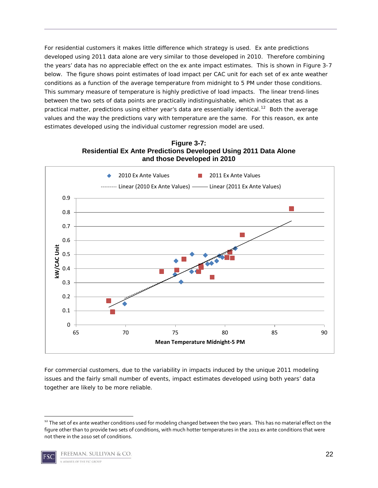For residential customers it makes little difference which strategy is used. Ex ante predictions developed using 2011 data alone are very similar to those developed in 2010. Therefore combining the years' data has no appreciable effect on the ex ante impact estimates. This is shown in Figure 3-7 below. The figure shows point estimates of load impact per CAC unit for each set of ex ante weather conditions as a function of the average temperature from midnight to 5 PM under those conditions. This summary measure of temperature is highly predictive of load impacts. The linear trend-lines between the two sets of data points are practically indistinguishable, which indicates that as a practical matter, predictions using either year's data are essentially identical.<sup>[12](#page-21-0)</sup> Both the average values and the way the predictions vary with temperature are the same. For this reason, ex ante estimates developed using the individual customer regression model are used.



**Figure 3-7: Residential Ex Ante Predictions Developed Using 2011 Data Alone and those Developed in 2010** 

For commercial customers, due to the variability in impacts induced by the unique 2011 modeling issues and the fairly small number of events, impact estimates developed using both years' data together are likely to be more reliable.

<span id="page-21-0"></span><sup>&</sup>lt;sup>12</sup> The set of ex ante weather conditions used for modeling changed between the two years. This has no material effect on the figure other than to provide two sets of conditions, with much hotter temperatures in the 2011 ex ante conditions that were not there in the 2010 set of conditions.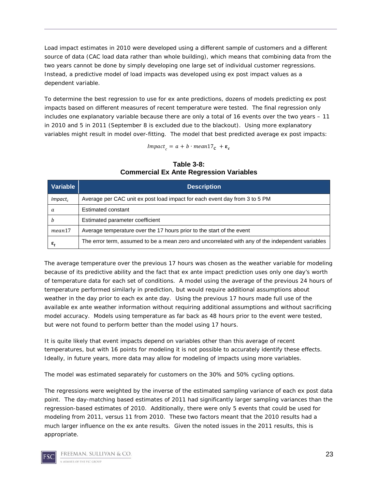Load impact estimates in 2010 were developed using a different sample of customers and a different source of data (CAC load data rather than whole building), which means that combining data from the two years cannot be done by simply developing one large set of individual customer regressions. Instead, a predictive model of load impacts was developed using ex post impact values as a dependent variable.

To determine the best regression to use for ex ante predictions, dozens of models predicting ex post impacts based on different measures of recent temperature were tested. The final regression only includes one explanatory variable because there are only a total of 16 events over the two years – 11 in 2010 and 5 in 2011 (September 8 is excluded due to the blackout). Using more explanatory variables might result in model over-fitting. The model that best predicted average ex post impacts:

 $$ 

| Variable                     | <b>Description</b>                                                                               |
|------------------------------|--------------------------------------------------------------------------------------------------|
| $Impart_c$                   | Average per CAC unit ex post load impact for each event day from 3 to 5 PM                       |
| a                            | Estimated constant                                                                               |
| h                            | Estimated parameter coefficient                                                                  |
| mean17                       | Average temperature over the 17 hours prior to the start of the event                            |
| $\boldsymbol{\varepsilon}_t$ | The error term, assumed to be a mean zero and uncorrelated with any of the independent variables |

#### **Table 3-8: Commercial Ex Ante Regression Variables**

The average temperature over the previous 17 hours was chosen as the weather variable for modeling because of its predictive ability and the fact that ex ante impact prediction uses only one day's worth of temperature data for each set of conditions. A model using the average of the previous 24 hours of temperature performed similarly in prediction, but would require additional assumptions about weather in the day prior to each ex ante day. Using the previous 17 hours made full use of the available ex ante weather information without requiring additional assumptions and without sacrificing model accuracy. Models using temperature as far back as 48 hours prior to the event were tested, but were not found to perform better than the model using 17 hours.

It is quite likely that event impacts depend on variables other than this average of recent temperatures, but with 16 points for modeling it is not possible to accurately identify these effects. Ideally, in future years, more data may allow for modeling of impacts using more variables.

The model was estimated separately for customers on the 30% and 50% cycling options.

The regressions were weighted by the inverse of the estimated sampling variance of each ex post data point. The day-matching based estimates of 2011 had significantly larger sampling variances than the regression-based estimates of 2010. Additionally, there were only 5 events that could be used for modeling from 2011, versus 11 from 2010. These two factors meant that the 2010 results had a much larger influence on the ex ante results. Given the noted issues in the 2011 results, this is appropriate.

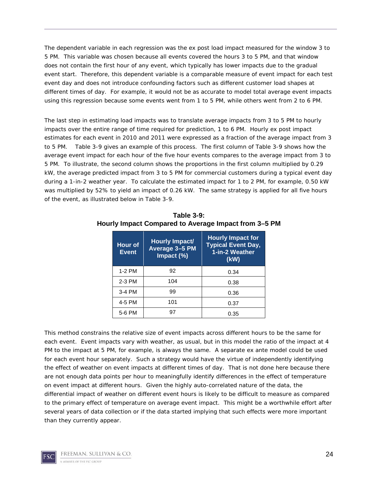The dependent variable in each regression was the ex post load impact measured for the window 3 to 5 PM. This variable was chosen because all events covered the hours 3 to 5 PM, and that window does not contain the first hour of any event, which typically has lower impacts due to the gradual event start. Therefore, this dependent variable is a comparable measure of event impact for each test event day and does not introduce confounding factors such as different customer load shapes at different times of day. For example, it would not be as accurate to model total average event impacts using this regression because some events went from 1 to 5 PM, while others went from 2 to 6 PM.

The last step in estimating load impacts was to translate average impacts from 3 to 5 PM to hourly impacts over the entire range of time required for prediction, 1 to 6 PM. Hourly ex post impact estimates for each event in 2010 and 2011 were expressed as a fraction of the average impact from 3 to 5 PM. Table 3-9 gives an example of this process. The first column of Table 3-9 shows how the average event impact for each hour of the five hour events compares to the average impact from 3 to 5 PM. To illustrate, the second column shows the proportions in the first column multiplied by 0.29 kW, the average predicted impact from 3 to 5 PM for commercial customers during a typical event day during a 1-in-2 weather year. To calculate the estimated impact for 1 to 2 PM, for example, 0.50 kW was multiplied by 52% to yield an impact of 0.26 kW. The same strategy is applied for all five hours of the event, as illustrated below in Table 3-9.

| <b>Hour of</b><br><b>Event</b> | Hourly Impact/<br>Average 3-5 PM<br>Impact (%) | <b>Hourly Impact for</b><br><b>Typical Event Day,</b><br>1-in-2 Weather<br>(kW) |
|--------------------------------|------------------------------------------------|---------------------------------------------------------------------------------|
| 1-2 PM                         | 92                                             | 0.34                                                                            |
| 2-3 PM                         | 104                                            | 0.38                                                                            |
| 3-4 PM                         | 99                                             | 0.36                                                                            |
| 4-5 PM                         | 101                                            | 0.37                                                                            |
| 5-6 PM                         | 97                                             | 0.35                                                                            |

**Table 3-9: Hourly Impact Compared to Average Impact from 3–5 PM**

This method constrains the relative size of event impacts across different hours to be the same for each event. Event impacts vary with weather, as usual, but in this model the ratio of the impact at 4 PM to the impact at 5 PM, for example, is always the same. A separate ex ante model could be used for each event hour separately. Such a strategy would have the virtue of independently identifying the effect of weather on event impacts at different times of day. That is not done here because there are not enough data points per hour to meaningfully identify differences in the effect of temperature on event impact at different hours. Given the highly auto-correlated nature of the data, the differential impact of weather on different event hours is likely to be difficult to measure as compared to the primary effect of temperature on average event impact. This might be a worthwhile effort after several years of data collection or if the data started implying that such effects were more important than they currently appear.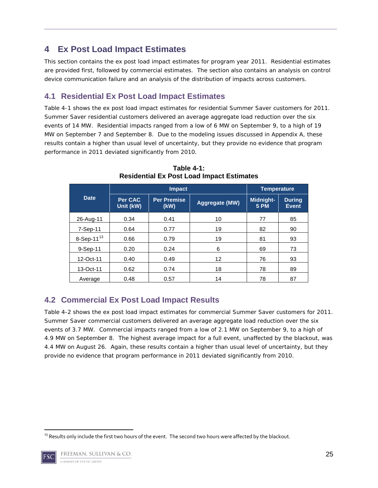## <span id="page-24-0"></span>**4 Ex Post Load Impact Estimates**

This section contains the ex post load impact estimates for program year 2011. Residential estimates are provided first, followed by commercial estimates. The section also contains an analysis on control device communication failure and an analysis of the distribution of impacts across customers.

## <span id="page-24-1"></span>**4.1 Residential Ex Post Load Impact Estimates**

Table 4-1 shows the ex post load impact estimates for residential Summer Saver customers for 2011. Summer Saver residential customers delivered an average aggregate load reduction over the six events of 14 MW. Residential impacts ranged from a low of 6 MW on September 9, to a high of 19 MW on September 7 and September 8. Due to the modeling issues discussed in Appendix A, these results contain a higher than usual level of uncertainty, but they provide no evidence that program performance in 2011 deviated significantly from 2010.

|                  |                      | <b>Temperature</b>                           |    |                                 |                               |
|------------------|----------------------|----------------------------------------------|----|---------------------------------|-------------------------------|
| <b>Date</b>      | Per CAC<br>Unit (kW) | <b>Per Premise</b><br>Aggregate (MW)<br>(kW) |    | <b>Midnight-</b><br><b>5 PM</b> | <b>During</b><br><b>Event</b> |
| 26-Aug-11        | 0.34                 | 0.41                                         | 10 | 77                              | 85                            |
| 7-Sep-11         | 0.64                 | 0.77                                         | 19 | 82                              | 90                            |
| 8-Sep-11 $^{13}$ | 0.66                 | 0.79                                         | 19 | 81                              | 93                            |
| 9-Sep-11         | 0.20                 | 0.24                                         | 6  | 69                              | 73                            |
| 12-Oct-11        | 0.40                 | 0.49                                         | 12 | 76                              | 93                            |
| 13-Oct-11        | 0.62                 | 0.74                                         | 18 | 78                              | 89                            |
| Average          | 0.48                 | 0.57                                         | 14 | 78                              | 87                            |

**Table 4-1: Residential Ex Post Load Impact Estimates**

## <span id="page-24-2"></span>**4.2 Commercial Ex Post Load Impact Results**

Table 4-2 shows the ex post load impact estimates for commercial Summer Saver customers for 2011. Summer Saver commercial customers delivered an average aggregate load reduction over the six events of 3.7 MW. Commercial impacts ranged from a low of 2.1 MW on September 9, to a high of 4.9 MW on September 8. The highest average impact for a full event, unaffected by the blackout, was 4.4 MW on August 26. Again, these results contain a higher than usual level of uncertainty, but they provide no evidence that program performance in 2011 deviated significantly from 2010.

<span id="page-24-3"></span> $^{13}$  Results only include the first two hours of the event. The second two hours were affected by the blackout.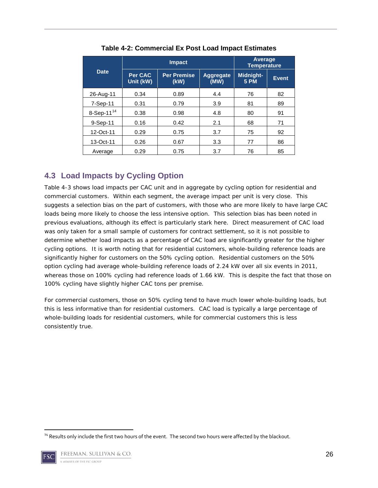|               |                      | <b>Impact</b>              | <b>Average</b><br><b>Temperature</b> |                                 |              |
|---------------|----------------------|----------------------------|--------------------------------------|---------------------------------|--------------|
| <b>Date</b>   | Per CAC<br>Unit (kW) | <b>Per Premise</b><br>(kW) | Aggregate<br>(MW)                    | <b>Midnight-</b><br><b>5 PM</b> | <b>Event</b> |
| 26-Aug-11     | 0.34                 | 0.89                       | 4.4                                  | 76                              | 82           |
| 7-Sep-11      | 0.31                 | 0.79                       | 3.9                                  | 81                              | 89           |
| 8-Sep-11 $14$ | 0.38                 | 0.98                       | 4.8                                  | 80                              | 91           |
| 9-Sep-11      | 0.16                 | 0.42                       | 2.1                                  | 68                              | 71           |
| 12-Oct-11     | 0.29                 | 0.75                       | 3.7                                  | 75                              | 92           |
| 13-Oct-11     | 0.26                 | 0.67                       | 3.3                                  | 77                              | 86           |
| Average       | 0.29                 | 0.75                       | 3.7                                  | 76                              | 85           |

**Table 4-2: Commercial Ex Post Load Impact Estimates**

## <span id="page-25-0"></span>**4.3 Load Impacts by Cycling Option**

Table 4-3 shows load impacts per CAC unit and in aggregate by cycling option for residential and commercial customers. Within each segment, the average impact per unit is very close. This suggests a selection bias on the part of customers, with those who are more likely to have large CAC loads being more likely to choose the less intensive option. This selection bias has been noted in previous evaluations, although its effect is particularly stark here. Direct measurement of CAC load was only taken for a small sample of customers for contract settlement, so it is not possible to determine whether load impacts as a percentage of CAC load are significantly greater for the higher cycling options. It is worth noting that for residential customers, whole-building reference loads are significantly higher for customers on the 50% cycling option. Residential customers on the 50% option cycling had average whole-building reference loads of 2.24 kW over all six events in 2011, whereas those on 100% cycling had reference loads of 1.66 kW. This is despite the fact that those on 100% cycling have slightly higher CAC tons per premise.

For commercial customers, those on 50% cycling tend to have much lower whole-building loads, but this is less informative than for residential customers. CAC load is typically a large percentage of whole-building loads for residential customers, while for commercial customers this is less consistently true.

<span id="page-25-1"></span><sup>&</sup>lt;sup>14</sup> Results only include the first two hours of the event. The second two hours were affected by the blackout.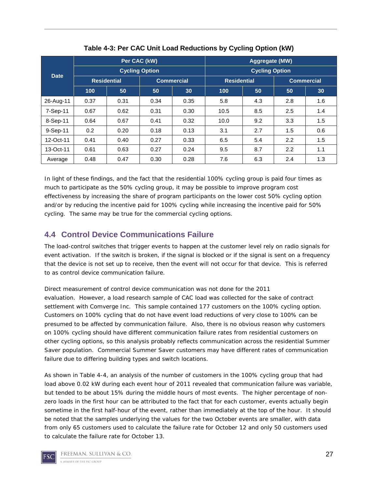|             | Per CAC (kW) |                       |      |                   | Aggregate (MW) |                       |     |                   |  |
|-------------|--------------|-----------------------|------|-------------------|----------------|-----------------------|-----|-------------------|--|
| <b>Date</b> |              | <b>Cycling Option</b> |      |                   |                | <b>Cycling Option</b> |     |                   |  |
|             |              | <b>Residential</b>    |      | <b>Commercial</b> |                | <b>Residential</b>    |     | <b>Commercial</b> |  |
|             | 100          | 50                    | 50   | 30                | 100            | 50                    | 50  | 30                |  |
| 26-Aug-11   | 0.37         | 0.31                  | 0.34 | 0.35              | 5.8            | 4.3                   | 2.8 | 1.6               |  |
| 7-Sep-11    | 0.67         | 0.62                  | 0.31 | 0.30              | 10.5           | 8.5                   | 2.5 | 1.4               |  |
| 8-Sep-11    | 0.64         | 0.67                  | 0.41 | 0.32              | 10.0           | 9.2                   | 3.3 | 1.5               |  |
| 9-Sep-11    | 0.2          | 0.20                  | 0.18 | 0.13              | 3.1            | 2.7                   | 1.5 | 0.6               |  |
| 12-Oct-11   | 0.41         | 0.40                  | 0.27 | 0.33              | 6.5            | 5.4                   | 2.2 | 1.5               |  |
| 13-Oct-11   | 0.61         | 0.63                  | 0.27 | 0.24              | 9.5            | 8.7                   | 2.2 | 1.1               |  |
| Average     | 0.48         | 0.47                  | 0.30 | 0.28              | 7.6            | 6.3                   | 2.4 | 1.3               |  |

**Table 4-3: Per CAC Unit Load Reductions by Cycling Option (kW)**

In light of these findings, and the fact that the residential 100% cycling group is paid four times as much to participate as the 50% cycling group, it may be possible to improve program cost effectiveness by increasing the share of program participants on the lower cost 50% cycling option and/or by reducing the incentive paid for 100% cycling while increasing the incentive paid for 50% cycling. The same may be true for the commercial cycling options.

## <span id="page-26-0"></span>**4.4 Control Device Communications Failure**

The load-control switches that trigger events to happen at the customer level rely on radio signals for event activation. If the switch is broken, if the signal is blocked or if the signal is sent on a frequency that the device is not set up to receive, then the event will not occur for that device. This is referred to as control device communication failure.

Direct measurement of control device communication was not done for the 2011 evaluation. However, a load research sample of CAC load was collected for the sake of contract settlement with Comverge Inc. This sample contained 177 customers on the 100% cycling option. Customers on 100% cycling that do not have event load reductions of very close to 100% can be presumed to be affected by communication failure. Also, there is no obvious reason why customers on 100% cycling should have different communication failure rates from residential customers on other cycling options, so this analysis probably reflects communication across the residential Summer Saver population. Commercial Summer Saver customers may have different rates of communication failure due to differing building types and switch locations.

As shown in Table 4-4, an analysis of the number of customers in the 100% cycling group that had load above 0.02 kW during each event hour of 2011 revealed that communication failure was variable, but tended to be about 15% during the middle hours of most events. The higher percentage of nonzero loads in the first hour can be attributed to the fact that for each customer, events actually begin sometime in the first half-hour of the event, rather than immediately at the top of the hour. It should be noted that the samples underlying the values for the two October events are smaller, with data from only 65 customers used to calculate the failure rate for October 12 and only 50 customers used to calculate the failure rate for October 13.

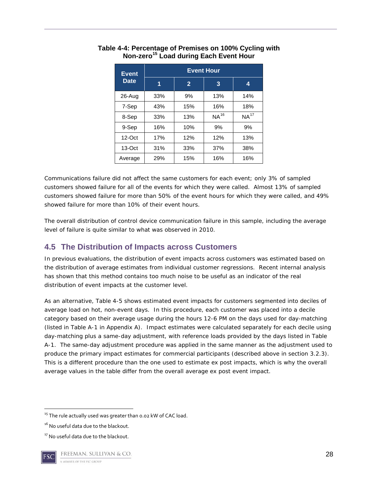| <b>Event</b> | <b>Event Hour</b>   |     |           |                  |  |  |  |  |
|--------------|---------------------|-----|-----------|------------------|--|--|--|--|
| <b>Date</b>  | 1<br>$\overline{2}$ |     | 3         | 4                |  |  |  |  |
| 26-Aug       | 33%                 | 9%  | 13%       | 14%              |  |  |  |  |
| 7-Sep        | 43%                 | 15% | 16%       | 18%              |  |  |  |  |
| 8-Sep        | 33%                 | 13% | $NA^{16}$ | NA <sup>17</sup> |  |  |  |  |
| 9-Sep        | 16%                 | 10% | 9%        | 9%               |  |  |  |  |
| $12$ -Oct    | 17%                 | 12% | 12%       | 13%              |  |  |  |  |
| $13-Oct$     | 31%                 | 33% | 37%       | 38%              |  |  |  |  |
| Average      | 29%                 | 15% | 16%       | 16%              |  |  |  |  |

#### **Table 4-4: Percentage of Premises on 100% Cycling with Non-zero[15](#page-27-1) Load during Each Event Hour**

Communications failure did not affect the same customers for each event; only 3% of sampled customers showed failure for all of the events for which they were called. Almost 13% of sampled customers showed failure for more than 50% of the event hours for which they were called, and 49% showed failure for more than 10% of their event hours.

The overall distribution of control device communication failure in this sample, including the average level of failure is quite similar to what was observed in 2010.

## <span id="page-27-0"></span>**4.5 The Distribution of Impacts across Customers**

In previous evaluations, the distribution of event impacts across customers was estimated based on the distribution of average estimates from individual customer regressions. Recent internal analysis has shown that this method contains too much noise to be useful as an indicator of the real distribution of event impacts at the customer level.

As an alternative, Table 4-5 shows estimated event impacts for customers segmented into deciles of average load on hot, non-event days. In this procedure, each customer was placed into a decile category based on their average usage during the hours 12-6 PM on the days used for day-matching (listed in Table A-1 in Appendix A). Impact estimates were calculated separately for each decile using day-matching plus a same-day adjustment, with reference loads provided by the days listed in Table A-1. The same-day adjustment procedure was applied in the same manner as the adjustment used to produce the primary impact estimates for commercial participants (described above in section 3.2.3). This is a different procedure than the one used to estimate ex post impacts, which is why the overall average values in the table differ from the overall average ex post event impact.

<span id="page-27-1"></span> $15$  The rule actually used was greater than 0.02 kW of CAC load.

<span id="page-27-2"></span><sup>&</sup>lt;sup>16</sup> No useful data due to the blackout.

<span id="page-27-3"></span><sup>&</sup>lt;sup>17</sup> No useful data due to the blackout.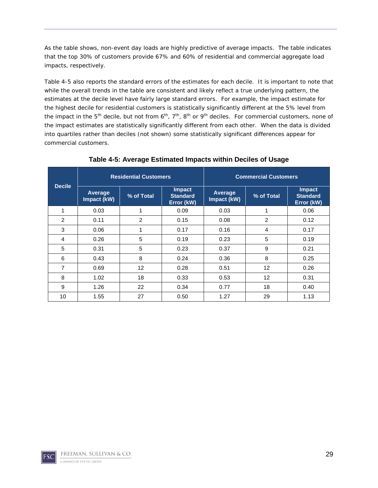As the table shows, non-event day loads are highly predictive of average impacts. The table indicates that the top 30% of customers provide 67% and 60% of residential and commercial aggregate load impacts, respectively.

Table 4-5 also reports the standard errors of the estimates for each decile. It is important to note that while the overall trends in the table are consistent and likely reflect a true underlying pattern, the estimates at the decile level have fairly large standard errors. For example, the impact estimate for the highest decile for residential customers is statistically significantly different at the 5% level from the impact in the  $5<sup>th</sup>$  decile, but not from  $6<sup>th</sup>$ ,  $7<sup>th</sup>$ ,  $8<sup>th</sup>$  or  $9<sup>th</sup>$  deciles. For commercial customers, none of the impact estimates are statistically significantly different from each other. When the data is divided into quartiles rather than deciles (not shown) some statistically significant differences appear for commercial customers.

|               | <b>Residential Customers</b> |            |                                                | <b>Commercial Customers</b> |                |                                                |  |
|---------------|------------------------------|------------|------------------------------------------------|-----------------------------|----------------|------------------------------------------------|--|
| <b>Decile</b> | Average<br>Impact (kW)       | % of Total | <b>Impact</b><br><b>Standard</b><br>Error (kW) | Average<br>Impact (kW)      | % of Total     | <b>Impact</b><br><b>Standard</b><br>Error (kW) |  |
|               | 0.03                         | 1          | 0.09                                           | 0.03                        |                | 0.06                                           |  |
| 2             | 0.11                         | 2          | 0.15                                           | 0.08                        | $\overline{2}$ | 0.12                                           |  |
| 3             | 0.06                         | 1          | 0.17                                           | 0.16                        | 4              | 0.17                                           |  |
| 4             | 0.26                         | 5          | 0.19                                           | 0.23                        | 5              | 0.19                                           |  |
| 5             | 0.31                         | 5          | 0.23                                           | 0.37                        | 9              | 0.21                                           |  |
| 6             | 0.43                         | 8          | 0.24                                           | 0.36                        | 8              | 0.25                                           |  |
| 7             | 0.69                         | 12         | 0.28                                           | 0.51                        | 12             | 0.26                                           |  |
| 8             | 1.02                         | 18         | 0.33                                           | 0.53                        | 12             | 0.31                                           |  |
| 9             | 1.26                         | 22         | 0.34                                           | 0.77                        | 18             | 0.40                                           |  |
| 10            | 1.55                         | 27         | 0.50                                           | 1.27                        | 29             | 1.13                                           |  |

**Table 4-5: Average Estimated Impacts within Deciles of Usage**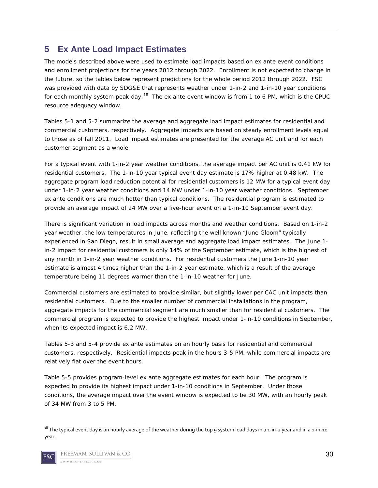## <span id="page-29-0"></span>**5 Ex Ante Load Impact Estimates**

The models described above were used to estimate load impacts based on ex ante event conditions and enrollment projections for the years 2012 through 2022. Enrollment is not expected to change in the future, so the tables below represent predictions for the whole period 2012 through 2022. FSC was provided with data by SDG&E that represents weather under 1-in-2 and 1-in-10 year conditions for each monthly system peak day.<sup>[18](#page-29-1)</sup> The ex ante event window is from 1 to 6 PM, which is the CPUC resource adequacy window.

Tables 5-1 and 5-2 summarize the average and aggregate load impact estimates for residential and commercial customers, respectively. Aggregate impacts are based on steady enrollment levels equal to those as of fall 2011. Load impact estimates are presented for the average AC unit and for each customer segment as a whole.

For a typical event with 1-in-2 year weather conditions, the average impact per AC unit is 0.41 kW for residential customers. The 1-in-10 year typical event day estimate is 17% higher at 0.48 kW. The aggregate program load reduction potential for residential customers is 12 MW for a typical event day under 1-in-2 year weather conditions and 14 MW under 1-in-10 year weather conditions. September ex ante conditions are much hotter than typical conditions. The residential program is estimated to provide an average impact of 24 MW over a five-hour event on a 1-in-10 September event day.

There is significant variation in load impacts across months and weather conditions. Based on 1-in-2 year weather, the low temperatures in June, reflecting the well known "June Gloom" typically experienced in San Diego, result in small average and aggregate load impact estimates. The June 1 in-2 impact for residential customers is only 14% of the September estimate, which is the highest of any month in 1-in-2 year weather conditions. For residential customers the June 1-in-10 year estimate is almost 4 times higher than the 1-in-2 year estimate, which is a result of the average temperature being 11 degrees warmer than the 1-in-10 weather for June.

Commercial customers are estimated to provide similar, but slightly lower per CAC unit impacts than residential customers. Due to the smaller number of commercial installations in the program, aggregate impacts for the commercial segment are much smaller than for residential customers. The commercial program is expected to provide the highest impact under 1-in-10 conditions in September, when its expected impact is 6.2 MW.

Tables 5-3 and 5-4 provide ex ante estimates on an hourly basis for residential and commercial customers, respectively. Residential impacts peak in the hours 3-5 PM, while commercial impacts are relatively flat over the event hours.

Table 5-5 provides program-level ex ante aggregate estimates for each hour. The program is expected to provide its highest impact under 1-in-10 conditions in September. Under those conditions, the average impact over the event window is expected to be 30 MW, with an hourly peak of 34 MW from 3 to 5 PM.

<span id="page-29-1"></span> $18$  The typical event day is an hourly average of the weather during the top 9 system load days in a 1-in-2 year and in a 1-in-10 year.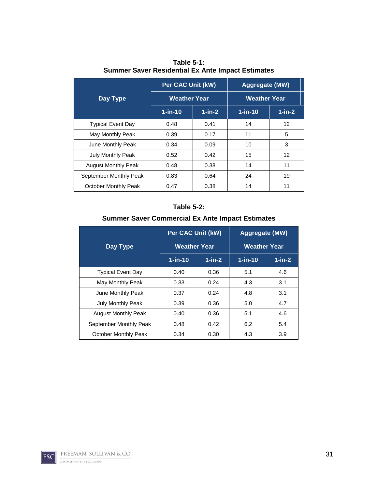|                            | <b>Per CAC Unit (kW)</b> |           | Aggregate (MW)      |           |  |
|----------------------------|--------------------------|-----------|---------------------|-----------|--|
| Day Type                   | <b>Weather Year</b>      |           | <b>Weather Year</b> |           |  |
|                            | $1$ -in-10               | $1$ -in-2 | $1$ -in-10          | $1$ -in-2 |  |
| <b>Typical Event Day</b>   | 0.48                     | 0.41      | 14                  | 12        |  |
| May Monthly Peak           | 0.39                     | 0.17      | 11                  | 5         |  |
| June Monthly Peak          | 0.34                     | 0.09      | 10                  | 3         |  |
| <b>July Monthly Peak</b>   | 0.52                     | 0.42      | 15                  | 12        |  |
| <b>August Monthly Peak</b> | 0.48                     | 0.38      | 14                  | 11        |  |
| September Monthly Peak     | 0.83                     | 0.64      | 24                  | 19        |  |
| October Monthly Peak       | 0.47                     | 0.38      | 14                  | 11        |  |

**Table 5-1: Summer Saver Residential Ex Ante Impact Estimates**

#### **Table 5-2:**

#### **Summer Saver Commercial Ex Ante Impact Estimates**

|                            | <b>Per CAC Unit (kW)</b> |           | <b>Aggregate (MW)</b> |           |  |
|----------------------------|--------------------------|-----------|-----------------------|-----------|--|
| <b>Day Type</b>            | <b>Weather Year</b>      |           | <b>Weather Year</b>   |           |  |
|                            | $1$ -in-10               | $1$ -in-2 | $1$ -in-10            | $1$ -in-2 |  |
| <b>Typical Event Day</b>   | 0.40                     | 0.36      | 5.1                   | 4.6       |  |
| May Monthly Peak           | 0.33                     | 0.24      | 4.3                   | 3.1       |  |
| June Monthly Peak          | 0.37                     | 0.24      | 4.8                   | 3.1       |  |
| <b>July Monthly Peak</b>   | 0.39                     | 0.36      | 5.0                   | 4.7       |  |
| <b>August Monthly Peak</b> | 0.40                     | 0.36      | 5.1                   | 4.6       |  |
| September Monthly Peak     | 0.48                     | 0.42      | 6.2                   | 5.4       |  |
| October Monthly Peak       | 0.34                     | 0.30      | 4.3                   | 3.9       |  |

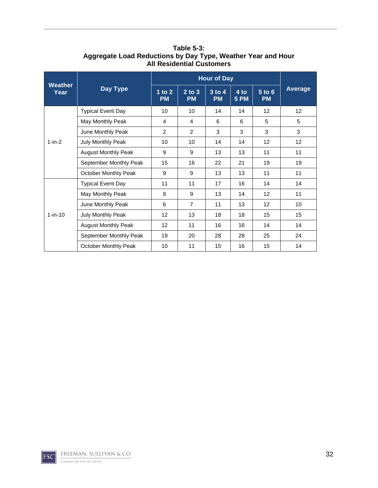|                        |                             | <b>Hour of Day</b>    |                         |                       |                     |                         |                |
|------------------------|-----------------------------|-----------------------|-------------------------|-----------------------|---------------------|-------------------------|----------------|
| <b>Weather</b><br>Year | <b>Day Type</b>             | 1 to $2$<br><b>PM</b> | $2$ to $3$<br><b>PM</b> | $3$ to 4<br><b>PM</b> | 4 to<br><b>5 PM</b> | $5$ to $6$<br><b>PM</b> | <b>Average</b> |
|                        | <b>Typical Event Day</b>    | 10                    | 10                      | 14                    | 14                  | $12 \overline{ }$       | 12             |
|                        | May Monthly Peak            | 4                     | 4                       | 6                     | 6                   | 5                       | 5              |
|                        | June Monthly Peak           | 2                     | 2                       | 3                     | 3                   | 3                       | 3              |
| $1-in-2$               | July Monthly Peak           | 10                    | 10                      | 14                    | 14                  | 12                      | 12             |
|                        | <b>August Monthly Peak</b>  | 9                     | 9                       | 13                    | 13                  | 11                      | 11             |
|                        | September Monthly Peak      | 15                    | 16                      | 22                    | 21                  | 19                      | 19             |
|                        | <b>October Monthly Peak</b> | 9                     | 9                       | 13                    | 13                  | 11                      | 11             |
|                        | <b>Typical Event Day</b>    | 11                    | 11                      | 17                    | 16                  | 14                      | 14             |
|                        | May Monthly Peak            | 8                     | 9                       | 13                    | 14                  | $12 \overline{ }$       | 11             |
|                        | June Monthly Peak           | 6                     | $\overline{7}$          | 11                    | 13                  | 12                      | 10             |
| $1-in-10$              | July Monthly Peak           | 12                    | 13                      | 18                    | 18                  | 15                      | 15             |
|                        | <b>August Monthly Peak</b>  | 12                    | 11                      | 16                    | 16                  | 14                      | 14             |
|                        | September Monthly Peak      | 19                    | 20                      | 28                    | 28                  | 25                      | 24             |
|                        | October Monthly Peak        | 10                    | 11                      | 15                    | 16                  | 15                      | 14             |

**Table 5-3: Aggregate Load Reductions by Day Type, Weather Year and Hour All Residential Customers**

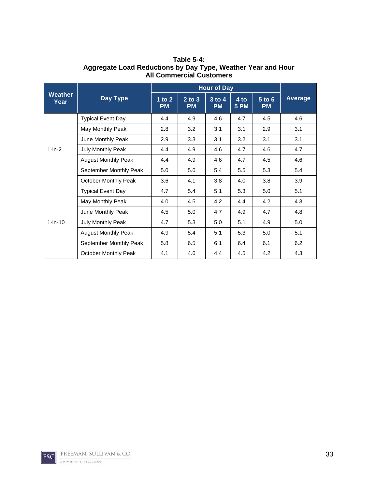|                        |                             | <b>Hour of Day</b>    |                         |                         |                     |                         |                |
|------------------------|-----------------------------|-----------------------|-------------------------|-------------------------|---------------------|-------------------------|----------------|
| <b>Weather</b><br>Year | Day Type                    | 1 to $2$<br><b>PM</b> | $2$ to $3$<br><b>PM</b> | $3$ to $4$<br><b>PM</b> | 4 to<br><b>5 PM</b> | $5$ to $6$<br><b>PM</b> | <b>Average</b> |
|                        | <b>Typical Event Day</b>    | 4.4                   | 4.9                     | 4.6                     | 4.7                 | 4.5                     | 4.6            |
|                        | May Monthly Peak            | 2.8                   | 3.2                     | 3.1                     | 3.1                 | 2.9                     | 3.1            |
|                        | June Monthly Peak           | 2.9                   | 3.3                     | 3.1                     | 3.2                 | 3.1                     | 3.1            |
| $1-in-2$               | July Monthly Peak           | 4.4                   | 4.9                     | 4.6                     | 4.7                 | 4.6                     | 4.7            |
|                        | <b>August Monthly Peak</b>  | 4.4                   | 4.9                     | 4.6                     | 4.7                 | 4.5                     | 4.6            |
|                        | September Monthly Peak      | 5.0                   | 5.6                     | 5.4                     | 5.5                 | 5.3                     | 5.4            |
|                        | <b>October Monthly Peak</b> | 3.6                   | 4.1                     | 3.8                     | 4.0                 | 3.8                     | 3.9            |
|                        | <b>Typical Event Day</b>    | 4.7                   | 5.4                     | 5.1                     | 5.3                 | 5.0                     | 5.1            |
|                        | May Monthly Peak            | 4.0                   | 4.5                     | 4.2                     | 4.4                 | 4.2                     | 4.3            |
|                        | June Monthly Peak           | 4.5                   | 5.0                     | 4.7                     | 4.9                 | 4.7                     | 4.8            |
| $1-in-10$              | July Monthly Peak           | 4.7                   | 5.3                     | 5.0                     | 5.1                 | 4.9                     | 5.0            |
|                        | <b>August Monthly Peak</b>  | 4.9                   | 5.4                     | 5.1                     | 5.3                 | 5.0                     | 5.1            |
|                        | September Monthly Peak      | 5.8                   | 6.5                     | 6.1                     | 6.4                 | 6.1                     | 6.2            |
|                        | <b>October Monthly Peak</b> | 4.1                   | 4.6                     | 4.4                     | 4.5                 | 4.2                     | 4.3            |

**Table 5-4: Aggregate Load Reductions by Day Type, Weather Year and Hour All Commercial Customers**

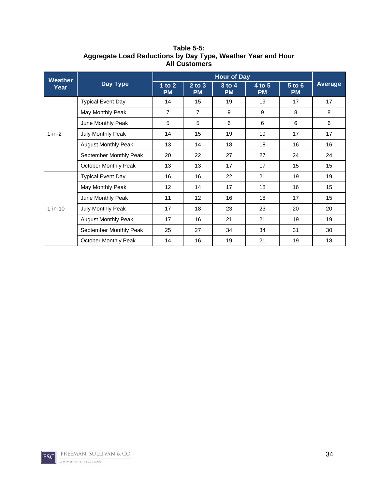| <b>Weather</b><br>Year |                             |                       |                         |                         |                     |                     |                |
|------------------------|-----------------------------|-----------------------|-------------------------|-------------------------|---------------------|---------------------|----------------|
|                        | Day Type                    | 1 to $2$<br><b>PM</b> | $2$ to $3$<br><b>PM</b> | $3$ to $4$<br><b>PM</b> | 4 to 5<br><b>PM</b> | 5 to 6<br><b>PM</b> | <b>Average</b> |
|                        | <b>Typical Event Day</b>    | 14                    | 15                      | 19                      | 19                  | 17                  | 17             |
|                        | May Monthly Peak            | $\overline{7}$        | $\overline{7}$          | 9                       | 9                   | 8                   | 8              |
|                        | June Monthly Peak           | 5                     | 5                       | 6                       | 6                   | 6                   | 6              |
| $1-in-2$               | July Monthly Peak           | 14                    | 15                      | 19                      | 19                  | 17                  | 17             |
|                        | <b>August Monthly Peak</b>  | 13                    | 14                      | 18                      | 18                  | 16                  | 16             |
|                        | September Monthly Peak      | 20                    | 22                      | 27                      | 27                  | 24                  | 24             |
|                        | <b>October Monthly Peak</b> | 13                    | 13                      | 17                      | 17                  | 15                  | 15             |
| $1-in-10$              | <b>Typical Event Day</b>    | 16                    | 16                      | 22                      | 21                  | 19                  | 19             |
|                        | May Monthly Peak            | 12                    | 14                      | 17                      | 18                  | 16                  | 15             |
|                        | June Monthly Peak           | 11                    | $12 \overline{ }$       | 16                      | 18                  | 17                  | 15             |
|                        | July Monthly Peak           | 17                    | 18                      | 23                      | 23                  | 20                  | 20             |
|                        | <b>August Monthly Peak</b>  | 17                    | 16                      | 21                      | 21                  | 19                  | 19             |
|                        | September Monthly Peak      | 25                    | 27                      | 34                      | 34                  | 31                  | 30             |
|                        | <b>October Monthly Peak</b> | 14                    | 16                      | 19                      | 21                  | 19                  | 18             |

**Table 5-5: Aggregate Load Reductions by Day Type, Weather Year and Hour All Customers**

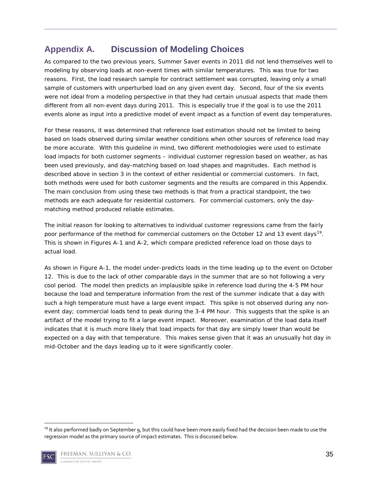## <span id="page-34-0"></span>**Appendix A. Discussion of Modeling Choices**

As compared to the two previous years, Summer Saver events in 2011 did not lend themselves well to modeling by observing loads at non-event times with similar temperatures. This was true for two reasons. First, the load research sample for contract settlement was corrupted, leaving only a small sample of customers with unperturbed load on any given event day. Second, four of the six events were not ideal from a modeling perspective in that they had certain unusual aspects that made them different from all non-event days during 2011. This is especially true if the goal is to use the 2011 events alone as input into a predictive model of event impact as a function of event day temperatures.

For these reasons, it was determined that reference load estimation should not be limited to being based on loads observed during similar weather conditions when other sources of reference load may be more accurate. With this guideline in mind, two different methodologies were used to estimate load impacts for both customer segments – individual customer regression based on weather, as has been used previously, and day-matching based on load shapes and magnitudes. Each method is described above in section 3 in the context of either residential or commercial customers. In fact, both methods were used for both customer segments and the results are compared in this Appendix. The main conclusion from using these two methods is that from a practical standpoint, the two methods are each adequate for residential customers. For commercial customers, only the daymatching method produced reliable estimates.

The initial reason for looking to alternatives to individual customer regressions came from the fairly poor performance of the method for commercial customers on the October 12 and 13 event days<sup>[19](#page-34-1)</sup>. This is shown in Figures A-1 and A-2, which compare predicted reference load on those days to actual load.

As shown in Figure A-1, the model under-predicts loads in the time leading up to the event on October 12. This is due to the lack of other comparable days in the summer that are so hot following a very cool period. The model then predicts an implausible spike in reference load during the 4-5 PM hour because the load and temperature information from the rest of the summer indicate that a day with such a high temperature must have a large event impact. This spike is not observed during any nonevent day; commercial loads tend to peak during the 3-4 PM hour. This suggests that the spike is an artifact of the model trying to fit a large event impact. Moreover, examination of the load data itself indicates that it is much more likely that load impacts for that day are simply lower than would be expected on a day with that temperature. This makes sense given that it was an unusually hot day in mid-October and the days leading up to it were significantly cooler.

<span id="page-34-1"></span><sup>&</sup>lt;sup>19</sup> It also performed badly on September 9, but this could have been more easily fixed had the decision been made to use the regression model as the primary source of impact estimates. This is discussed below.

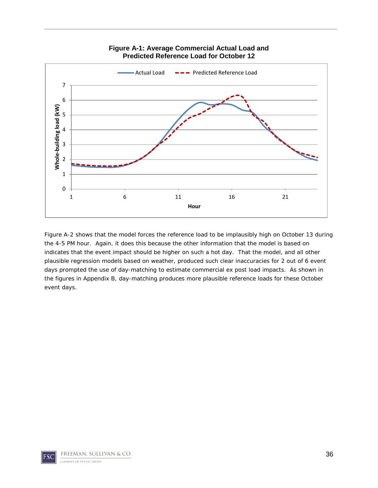

**Figure A-1: Average Commercial Actual Load and Predicted Reference Load for October 12**

Figure A-2 shows that the model forces the reference load to be implausibly high on October 13 during the 4-5 PM hour. Again, it does this because the other information that the model is based on indicates that the event impact should be higher on such a hot day. That the model, and all other plausible regression models based on weather, produced such clear inaccuracies for 2 out of 6 event days prompted the use of day-matching to estimate commercial ex post load impacts. As shown in the figures in Appendix B, day-matching produces more plausible reference loads for these October event days.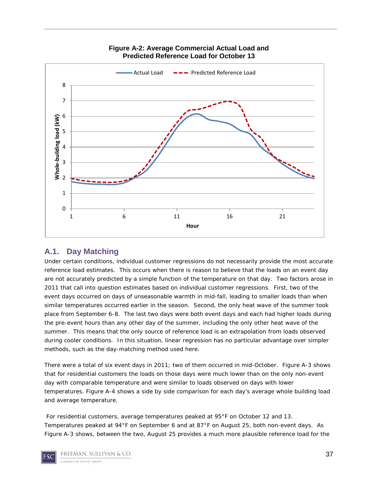

**Figure A-2: Average Commercial Actual Load and Predicted Reference Load for October 13**

#### <span id="page-36-0"></span>**A.1. Day Matching**

Under certain conditions, individual customer regressions do not necessarily provide the most accurate reference load estimates. This occurs when there is reason to believe that the loads on an event day are not accurately predicted by a simple function of the temperature on that day. Two factors arose in 2011 that call into question estimates based on individual customer regressions. First, two of the event days occurred on days of unseasonable warmth in mid-fall, leading to smaller loads than when similar temperatures occurred earlier in the season. Second, the only heat wave of the summer took place from September 6-8. The last two days were both event days and each had higher loads during the pre-event hours than any other day of the summer, including the only other heat wave of the summer. This means that the only source of reference load is an extrapolation from loads observed during cooler conditions. In this situation, linear regression has no particular advantage over simpler methods, such as the day-matching method used here.

There were a total of six event days in 2011; two of them occurred in mid-October. Figure A-3 shows that for residential customers the loads on those days were much lower than on the only non-event day with comparable temperature and were similar to loads observed on days with lower temperatures. Figure A-4 shows a side by side comparison for each day's average whole building load and average temperature.

For residential customers, average temperatures peaked at 95°F on October 12 and 13. Temperatures peaked at 94°F on September 6 and at 87°F on August 25, both non-event days. As Figure A-3 shows, between the two, August 25 provides a much more plausible reference load for the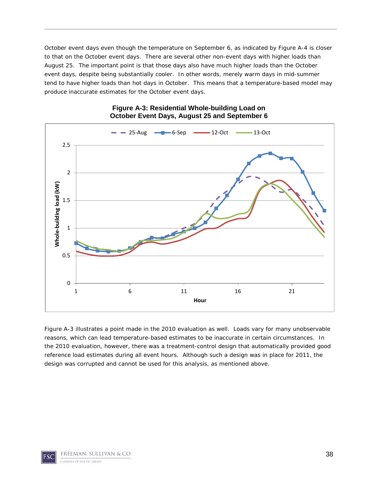October event days even though the temperature on September 6, as indicated by Figure A-4 is closer to that on the October event days. There are several other non-event days with higher loads than August 25. The important point is that those days also have much higher loads than the October event days, despite being substantially cooler. In other words, merely warm days in mid-summer tend to have higher loads than hot days in October. This means that a temperature-based model may produce inaccurate estimates for the October event days.



#### **Figure A-3: Residential Whole-building Load on October Event Days, August 25 and September 6**

Figure A-3 illustrates a point made in the 2010 evaluation as well. Loads vary for many unobservable reasons, which can lead temperature-based estimates to be inaccurate in certain circumstances. In the 2010 evaluation, however, there was a treatment-control design that automatically provided good reference load estimates during all event hours. Although such a design was in place for 2011, the design was corrupted and cannot be used for this analysis, as mentioned above.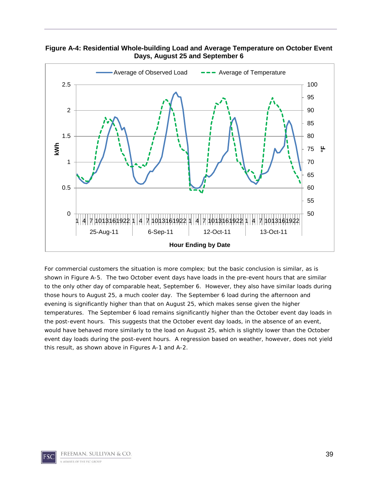

**Figure A-4: Residential Whole-building Load and Average Temperature on October Event Days, August 25 and September 6**

For commercial customers the situation is more complex; but the basic conclusion is similar, as is shown in Figure A-5. The two October event days have loads in the pre-event hours that are similar to the only other day of comparable heat, September 6. However, they also have similar loads during those hours to August 25, a much cooler day. The September 6 load during the afternoon and evening is significantly higher than that on August 25, which makes sense given the higher temperatures. The September 6 load remains significantly higher than the October event day loads in the post-event hours. This suggests that the October event day loads, in the absence of an event, would have behaved more similarly to the load on August 25, which is slightly lower than the October event day loads during the post-event hours. A regression based on weather, however, does not yield this result, as shown above in Figures A-1 and A-2.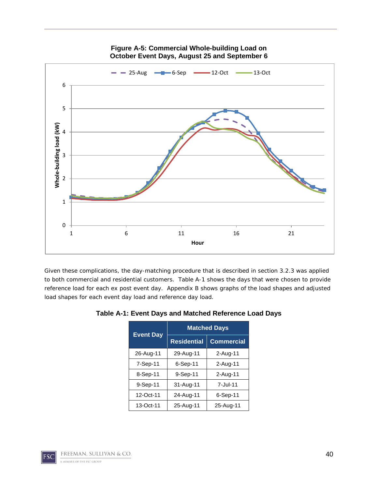

#### **Figure A-5: Commercial Whole-building Load on October Event Days, August 25 and September 6**

Given these complications, the day-matching procedure that is described in section 3.2.3 was applied to both commercial and residential customers. Table A-1 shows the days that were chosen to provide reference load for each ex post event day. Appendix B shows graphs of the load shapes and adjusted load shapes for each event day load and reference day load.

| <b>Event Day</b> | <b>Matched Days</b> |                   |  |  |  |
|------------------|---------------------|-------------------|--|--|--|
|                  | <b>Residential</b>  | <b>Commercial</b> |  |  |  |
| 26-Aug-11        | 29-Aug-11           | 2-Aug-11          |  |  |  |
| 7-Sep-11         | 6-Sep-11            | 2-Aug-11          |  |  |  |
| 8-Sep-11         | 9-Sep-11            | 2-Aug-11          |  |  |  |
| 9-Sep-11         | 31-Aug-11           | 7-Jul-11          |  |  |  |
| 12-Oct-11        | 24-Aug-11           | 6-Sep-11          |  |  |  |
| 13-Oct-11        | 25-Aug-11           | 25-Aug-11         |  |  |  |

#### **Table A-1: Event Days and Matched Reference Load Days**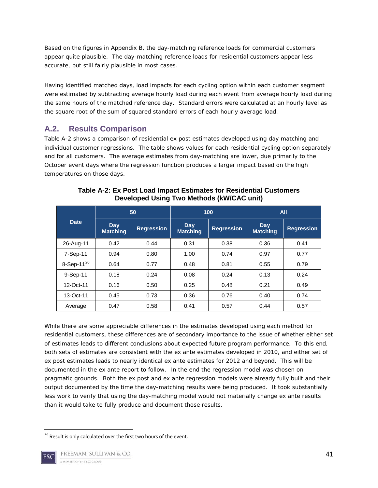Based on the figures in Appendix B, the day-matching reference loads for commercial customers appear quite plausible. The day-matching reference loads for residential customers appear less accurate, but still fairly plausible in most cases.

Having identified matched days, load impacts for each cycling option within each customer segment were estimated by subtracting average hourly load during each event from average hourly load during the same hours of the matched reference day. Standard errors were calculated at an hourly level as the square root of the sum of squared standard errors of each hourly average load.

## <span id="page-40-0"></span>**A.2. Results Comparison**

Table A-2 shows a comparison of residential ex post estimates developed using day matching and individual customer regressions. The table shows values for each residential cycling option separately and for all customers. The average estimates from day-matching are lower, due primarily to the October event days where the regression function produces a larger impact based on the high temperatures on those days.

|                  | 50                     |                   |                        | 100               | <b>All</b>             |                   |
|------------------|------------------------|-------------------|------------------------|-------------------|------------------------|-------------------|
| <b>Date</b>      | Day<br><b>Matching</b> | <b>Regression</b> | Day<br><b>Matching</b> | <b>Regression</b> | Day<br><b>Matching</b> | <b>Regression</b> |
| 26-Aug-11        | 0.42                   | 0.44              | 0.31                   | 0.38              | 0.36                   | 0.41              |
| 7-Sep-11         | 0.94                   | 0.80              | 1.00                   | 0.74              | 0.97                   | 0.77              |
| 8-Sep-11 $^{20}$ | 0.64                   | 0.77              | 0.48                   | 0.81              | 0.55                   | 0.79              |
| 9-Sep-11         | 0.18                   | 0.24              | 0.08                   | 0.24              | 0.13                   | 0.24              |
| 12-Oct-11        | 0.16                   | 0.50              | 0.25                   | 0.48              | 0.21                   | 0.49              |
| 13-Oct-11        | 0.45                   | 0.73              | 0.36                   | 0.76              | 0.40                   | 0.74              |
| Average          | 0.47                   | 0.58              | 0.41                   | 0.57              | 0.44                   | 0.57              |

**Table A-2: Ex Post Load Impact Estimates for Residential Customers Developed Using Two Methods (kW/CAC unit)**

While there are some appreciable differences in the estimates developed using each method for residential customers, these differences are of secondary importance to the issue of whether either set of estimates leads to different conclusions about expected future program performance. To this end, both sets of estimates are consistent with the ex ante estimates developed in 2010, and either set of ex post estimates leads to nearly identical ex ante estimates for 2012 and beyond. This will be documented in the ex ante report to follow. In the end the regression model was chosen on pragmatic grounds. Both the ex post and ex ante regression models were already fully built and their output documented by the time the day-matching results were being produced. It took substantially less work to verify that using the day-matching model would not materially change ex ante results than it would take to fully produce and document those results.

<span id="page-40-1"></span><sup>&</sup>lt;sup>20</sup> Result is only calculated over the first two hours of the event.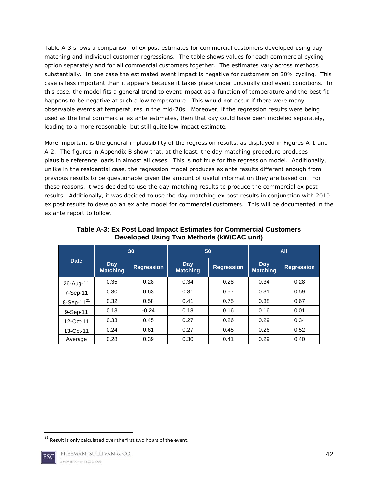Table A-3 shows a comparison of ex post estimates for commercial customers developed using day matching and individual customer regressions. The table shows values for each commercial cycling option separately and for all commercial customers together. The estimates vary across methods substantially. In one case the estimated event impact is negative for customers on 30% cycling. This case is less important than it appears because it takes place under unusually cool event conditions. In this case, the model fits a general trend to event impact as a function of temperature and the best fit happens to be negative at such a low temperature. This would not occur if there were many observable events at temperatures in the mid-70s. Moreover, if the regression results were being used as the final commercial ex ante estimates, then that day could have been modeled separately, leading to a more reasonable, but still quite low impact estimate.

More important is the general implausibility of the regression results, as displayed in Figures A-1 and A-2. The figures in Appendix B show that, at the least, the day-matching procedure produces plausible reference loads in almost all cases. This is not true for the regression model. Additionally, unlike in the residential case, the regression model produces ex ante results different enough from previous results to be questionable given the amount of useful information they are based on. For these reasons, it was decided to use the day-matching results to produce the commercial ex post results. Additionally, it was decided to use the day-matching ex post results in conjunction with 2010 ex post results to develop an ex ante model for commercial customers. This will be documented in the ex ante report to follow.

| <b>Date</b>               | 30                     |                   | 50                     |                   | <b>All</b>             |                   |
|---------------------------|------------------------|-------------------|------------------------|-------------------|------------------------|-------------------|
|                           | Day<br><b>Matching</b> | <b>Regression</b> | Day<br><b>Matching</b> | <b>Regression</b> | Day<br><b>Matching</b> | <b>Regression</b> |
| 26-Aug-11                 | 0.35                   | 0.28              | 0.34                   | 0.28              | 0.34                   | 0.28              |
| $7-Sep-11$                | 0.30                   | 0.63              | 0.31                   | 0.57              | 0.31                   | 0.59              |
| $8-$ Sep-11 <sup>21</sup> | 0.32                   | 0.58              | 0.41                   | 0.75              | 0.38                   | 0.67              |
| $9-Sep-11$                | 0.13                   | $-0.24$           | 0.18                   | 0.16              | 0.16                   | 0.01              |
| 12-Oct-11                 | 0.33                   | 0.45              | 0.27                   | 0.26              | 0.29                   | 0.34              |
| 13-Oct-11                 | 0.24                   | 0.61              | 0.27                   | 0.45              | 0.26                   | 0.52              |
| Average                   | 0.28                   | 0.39              | 0.30                   | 0.41              | 0.29                   | 0.40              |

**Table A-3: Ex Post Load Impact Estimates for Commercial Customers Developed Using Two Methods (kW/CAC unit)**

<span id="page-41-0"></span><sup>&</sup>lt;sup>21</sup> Result is only calculated over the first two hours of the event.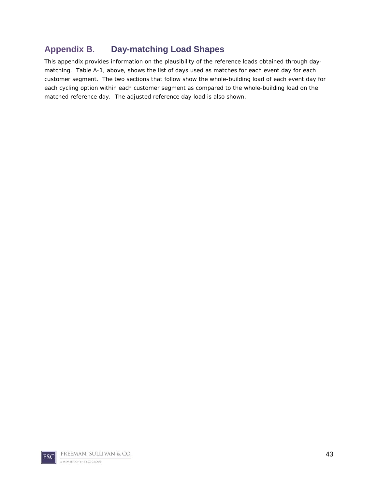## <span id="page-42-0"></span>**Appendix B. Day-matching Load Shapes**

This appendix provides information on the plausibility of the reference loads obtained through daymatching. Table A-1, above, shows the list of days used as matches for each event day for each customer segment. The two sections that follow show the whole-building load of each event day for each cycling option within each customer segment as compared to the whole-building load on the matched reference day. The adjusted reference day load is also shown.

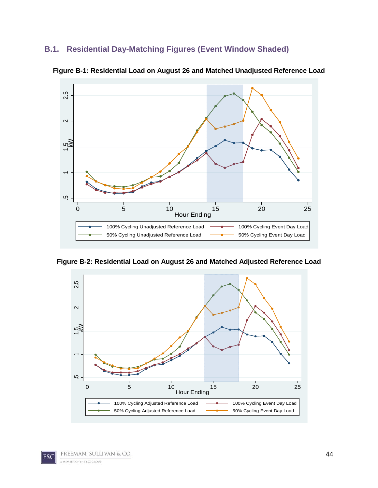## <span id="page-43-0"></span>**B.1. Residential Day-Matching Figures (Event Window Shaded)**



**Figure B-1: Residential Load on August 26 and Matched Unadjusted Reference Load**

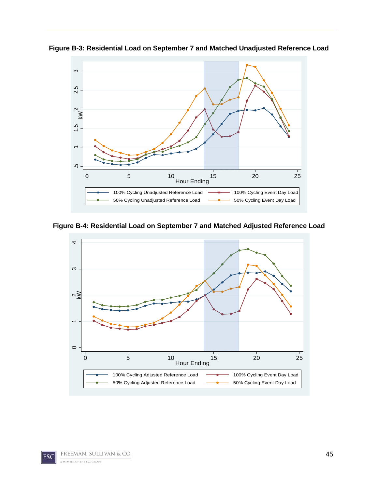**Figure B-3: Residential Load on September 7 and Matched Unadjusted Reference Load**



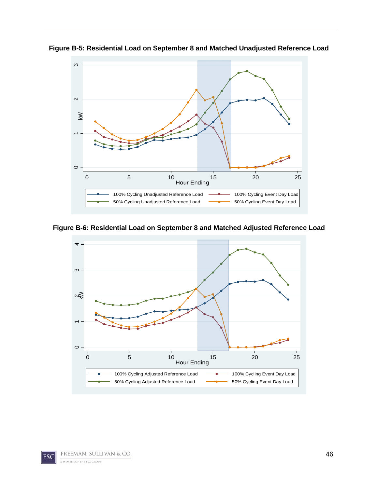

**Figure B-5: Residential Load on September 8 and Matched Unadjusted Reference Load**



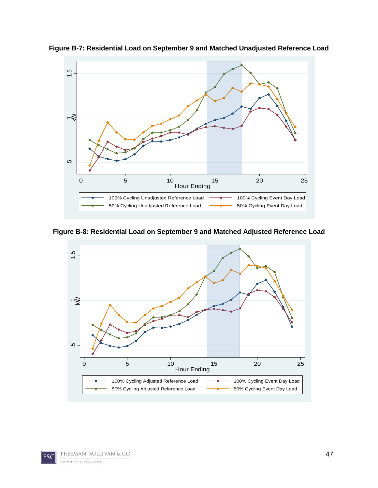



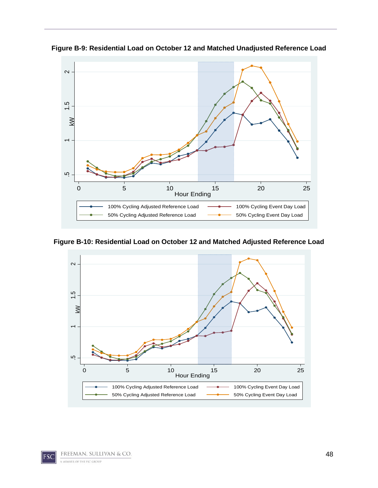

**Figure B-9: Residential Load on October 12 and Matched Unadjusted Reference Load**

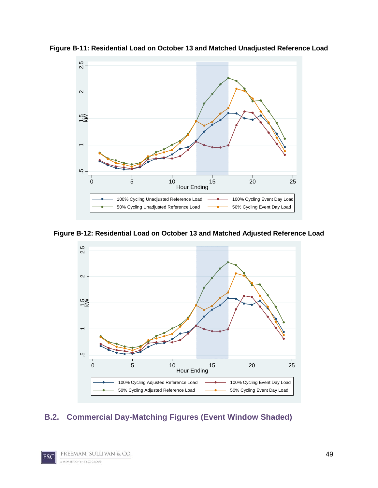

**Figure B-11: Residential Load on October 13 and Matched Unadjusted Reference Load**

<span id="page-48-0"></span>**Figure B-12: Residential Load on October 13 and Matched Adjusted Reference Load**

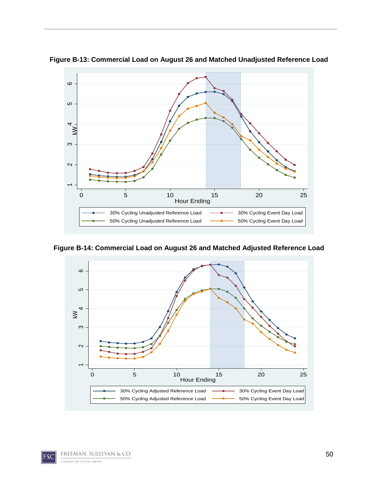

**Figure B-13: Commercial Load on August 26 and Matched Unadjusted Reference Load**

**Figure B-14: Commercial Load on August 26 and Matched Adjusted Reference Load**

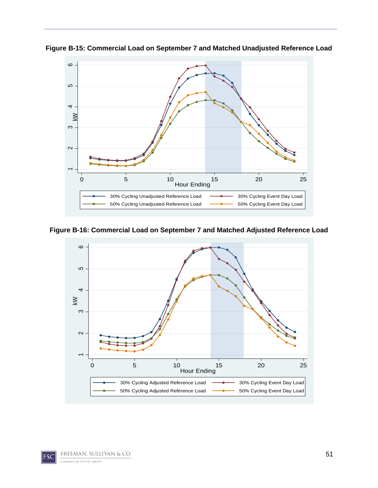

**Figure B-15: Commercial Load on September 7 and Matched Unadjusted Reference Load**

**Figure B-16: Commercial Load on September 7 and Matched Adjusted Reference Load**

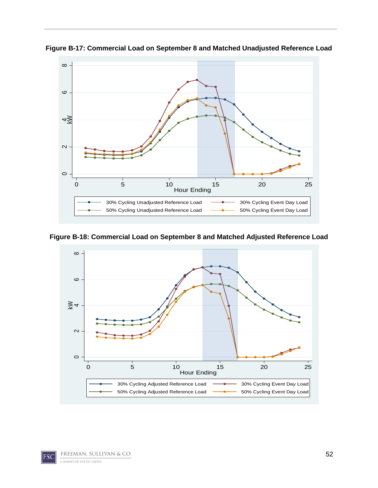

**Figure B-17: Commercial Load on September 8 and Matched Unadjusted Reference Load**

**Figure B-18: Commercial Load on September 8 and Matched Adjusted Reference Load**

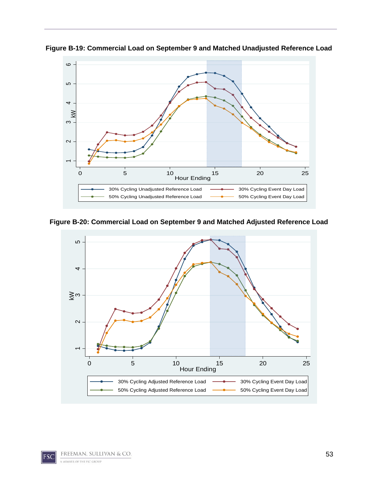

**Figure B-19: Commercial Load on September 9 and Matched Unadjusted Reference Load**

**Figure B-20: Commercial Load on September 9 and Matched Adjusted Reference Load**

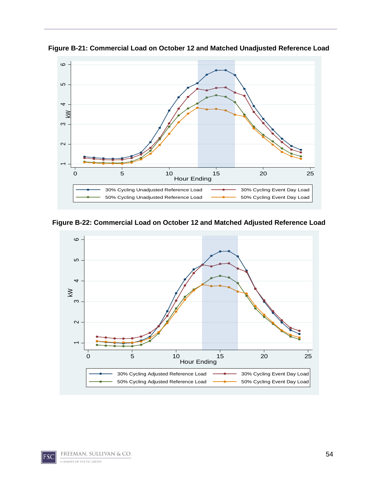

**Figure B-21: Commercial Load on October 12 and Matched Unadjusted Reference Load**

**Figure B-22: Commercial Load on October 12 and Matched Adjusted Reference Load**

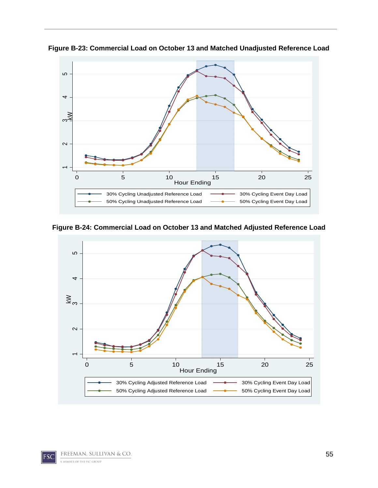

**Figure B-23: Commercial Load on October 13 and Matched Unadjusted Reference Load**

**Figure B-24: Commercial Load on October 13 and Matched Adjusted Reference Load**